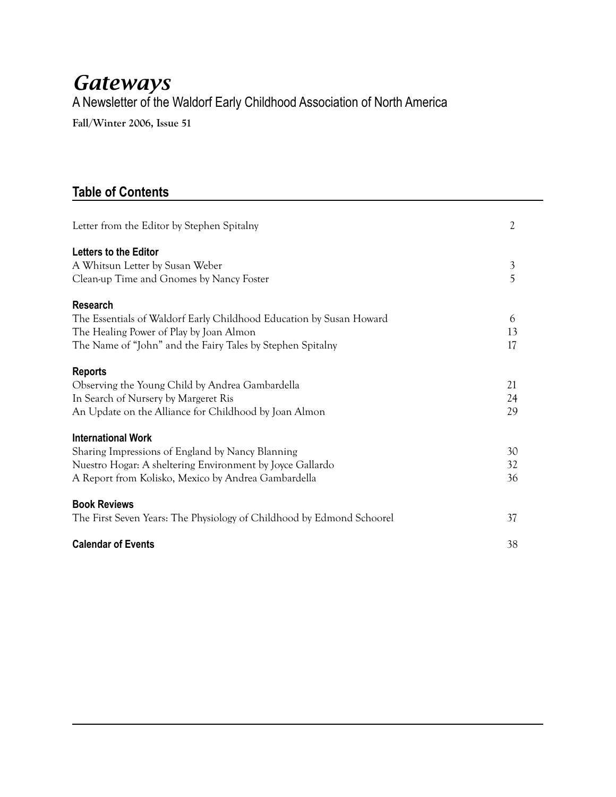## *Gateways* A Newsletter of the Waldorf Early Childhood Association of North America

**Fall/Winter 2006, Issue 51**

### **Table of Contents**

| Letter from the Editor by Stephen Spitalny                                                                                                                                                        | $\overline{2}$ |
|---------------------------------------------------------------------------------------------------------------------------------------------------------------------------------------------------|----------------|
| <b>Letters to the Editor</b><br>A Whitsun Letter by Susan Weber<br>Clean-up Time and Gnomes by Nancy Foster                                                                                       | 3<br>5         |
| <b>Research</b><br>The Essentials of Waldorf Early Childhood Education by Susan Howard<br>The Healing Power of Play by Joan Almon<br>The Name of "John" and the Fairy Tales by Stephen Spitalny   | 6<br>13<br>17  |
| <b>Reports</b><br>Observing the Young Child by Andrea Gambardella<br>In Search of Nursery by Margeret Ris<br>An Update on the Alliance for Childhood by Joan Almon                                | 21<br>24<br>29 |
| <b>International Work</b><br>Sharing Impressions of England by Nancy Blanning<br>Nuestro Hogar: A sheltering Environment by Joyce Gallardo<br>A Report from Kolisko, Mexico by Andrea Gambardella | 30<br>32<br>36 |
| <b>Book Reviews</b><br>The First Seven Years: The Physiology of Childhood by Edmond Schoorel                                                                                                      | 37             |
| <b>Calendar of Events</b>                                                                                                                                                                         | 38             |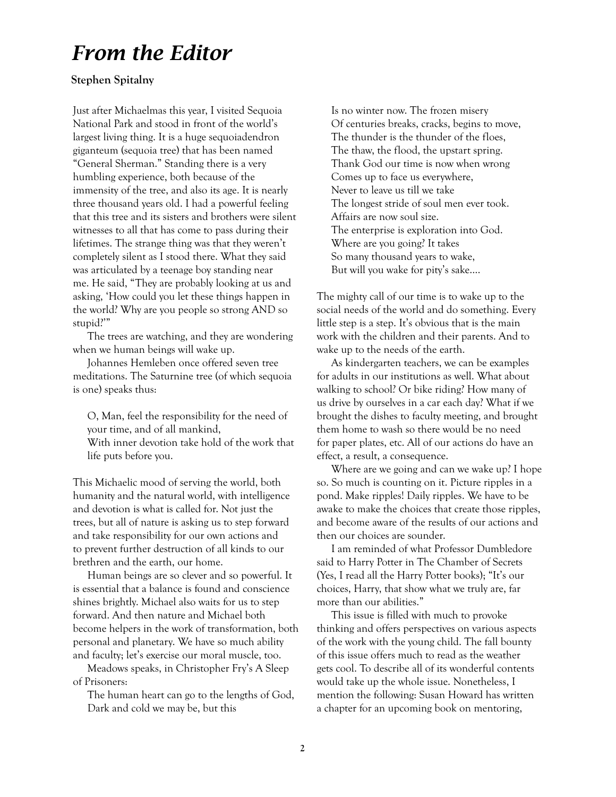# *From the Editor*

#### **Stephen Spitalny**

Just after Michaelmas this year, I visited Sequoia National Park and stood in front of the world's largest living thing. It is a huge sequoiadendron giganteum (sequoia tree) that has been named "General Sherman." Standing there is a very humbling experience, both because of the immensity of the tree, and also its age. It is nearly three thousand years old. I had a powerful feeling that this tree and its sisters and brothers were silent witnesses to all that has come to pass during their lifetimes. The strange thing was that they weren't completely silent as I stood there. What they said was articulated by a teenage boy standing near me. He said, "They are probably looking at us and asking, 'How could you let these things happen in the world? Why are you people so strong AND so stupid?'"

The trees are watching, and they are wondering when we human beings will wake up.

Johannes Hemleben once offered seven tree meditations. The Saturnine tree (of which sequoia is one) speaks thus:

O, Man, feel the responsibility for the need of your time, and of all mankind, With inner devotion take hold of the work that life puts before you.

This Michaelic mood of serving the world, both humanity and the natural world, with intelligence and devotion is what is called for. Not just the trees, but all of nature is asking us to step forward and take responsibility for our own actions and to prevent further destruction of all kinds to our brethren and the earth, our home.

Human beings are so clever and so powerful. It is essential that a balance is found and conscience shines brightly. Michael also waits for us to step forward. And then nature and Michael both become helpers in the work of transformation, both personal and planetary. We have so much ability and faculty; let's exercise our moral muscle, too.

Meadows speaks, in Christopher Fry's A Sleep of Prisoners:

The human heart can go to the lengths of God, Dark and cold we may be, but this

Is no winter now. The frozen misery Of centuries breaks, cracks, begins to move, The thunder is the thunder of the floes, The thaw, the flood, the upstart spring. Thank God our time is now when wrong Comes up to face us everywhere, Never to leave us till we take The longest stride of soul men ever took. Affairs are now soul size. The enterprise is exploration into God. Where are you going? It takes So many thousand years to wake, But will you wake for pity's sake….

The mighty call of our time is to wake up to the social needs of the world and do something. Every little step is a step. It's obvious that is the main work with the children and their parents. And to wake up to the needs of the earth.

As kindergarten teachers, we can be examples for adults in our institutions as well. What about walking to school? Or bike riding? How many of us drive by ourselves in a car each day? What if we brought the dishes to faculty meeting, and brought them home to wash so there would be no need for paper plates, etc. All of our actions do have an effect, a result, a consequence.

Where are we going and can we wake up? I hope so. So much is counting on it. Picture ripples in a pond. Make ripples! Daily ripples. We have to be awake to make the choices that create those ripples, and become aware of the results of our actions and then our choices are sounder.

I am reminded of what Professor Dumbledore said to Harry Potter in The Chamber of Secrets (Yes, I read all the Harry Potter books); "It's our choices, Harry, that show what we truly are, far more than our abilities."

This issue is filled with much to provoke thinking and offers perspectives on various aspects of the work with the young child. The fall bounty of this issue offers much to read as the weather gets cool. To describe all of its wonderful contents would take up the whole issue. Nonetheless, I mention the following: Susan Howard has written a chapter for an upcoming book on mentoring,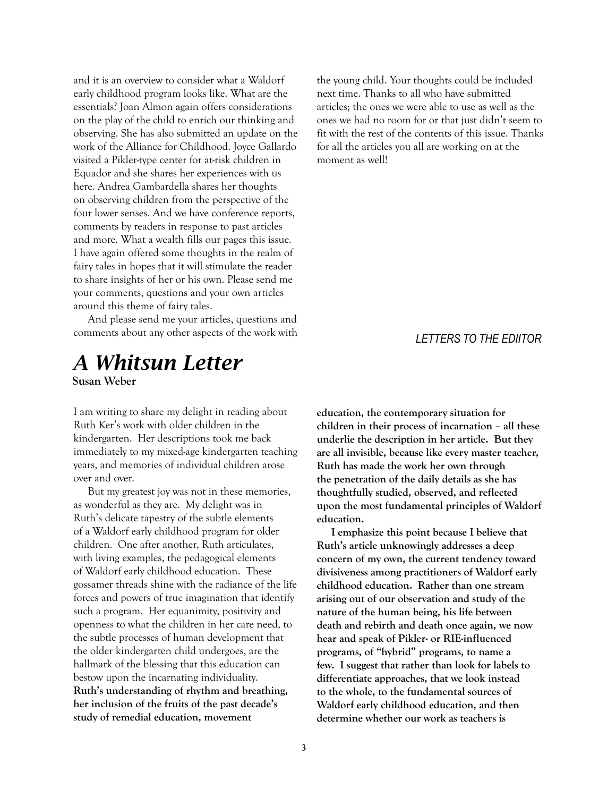and it is an overview to consider what a Waldorf early childhood program looks like. What are the essentials? Joan Almon again offers considerations on the play of the child to enrich our thinking and observing. She has also submitted an update on the work of the Alliance for Childhood. Joyce Gallardo visited a Pikler-type center for at-risk children in Equador and she shares her experiences with us here. Andrea Gambardella shares her thoughts on observing children from the perspective of the four lower senses. And we have conference reports, comments by readers in response to past articles and more. What a wealth fills our pages this issue. I have again offered some thoughts in the realm of fairy tales in hopes that it will stimulate the reader to share insights of her or his own. Please send me your comments, questions and your own articles around this theme of fairy tales.

And please send me your articles, questions and comments about any other aspects of the work with

### *A Whitsun Letter* **Susan Weber**

I am writing to share my delight in reading about Ruth Ker's work with older children in the kindergarten. Her descriptions took me back immediately to my mixed-age kindergarten teaching years, and memories of individual children arose over and over.

But my greatest joy was not in these memories, as wonderful as they are. My delight was in Ruth's delicate tapestry of the subtle elements of a Waldorf early childhood program for older children. One after another, Ruth articulates, with living examples, the pedagogical elements of Waldorf early childhood education. These gossamer threads shine with the radiance of the life forces and powers of true imagination that identify such a program. Her equanimity, positivity and openness to what the children in her care need, to the subtle processes of human development that the older kindergarten child undergoes, are the hallmark of the blessing that this education can bestow upon the incarnating individuality. **Ruth's understanding of rhythm and breathing, her inclusion of the fruits of the past decade's study of remedial education, movement** 

the young child. Your thoughts could be included next time. Thanks to all who have submitted articles; the ones we were able to use as well as the ones we had no room for or that just didn't seem to fit with the rest of the contents of this issue. Thanks for all the articles you all are working on at the moment as well!

#### *LETTERS TO THE EDIITOR*

**education, the contemporary situation for children in their process of incarnation – all these underlie the description in her article. But they are all invisible, because like every master teacher, Ruth has made the work her own through the penetration of the daily details as she has thoughtfully studied, observed, and reflected upon the most fundamental principles of Waldorf education.**

**I emphasize this point because I believe that Ruth's article unknowingly addresses a deep concern of my own, the current tendency toward divisiveness among practitioners of Waldorf early childhood education. Rather than one stream arising out of our observation and study of the nature of the human being, his life between death and rebirth and death once again, we now hear and speak of Pikler- or RIE-influenced programs, of "hybrid" programs, to name a few. I suggest that rather than look for labels to differentiate approaches, that we look instead to the whole, to the fundamental sources of Waldorf early childhood education, and then determine whether our work as teachers is**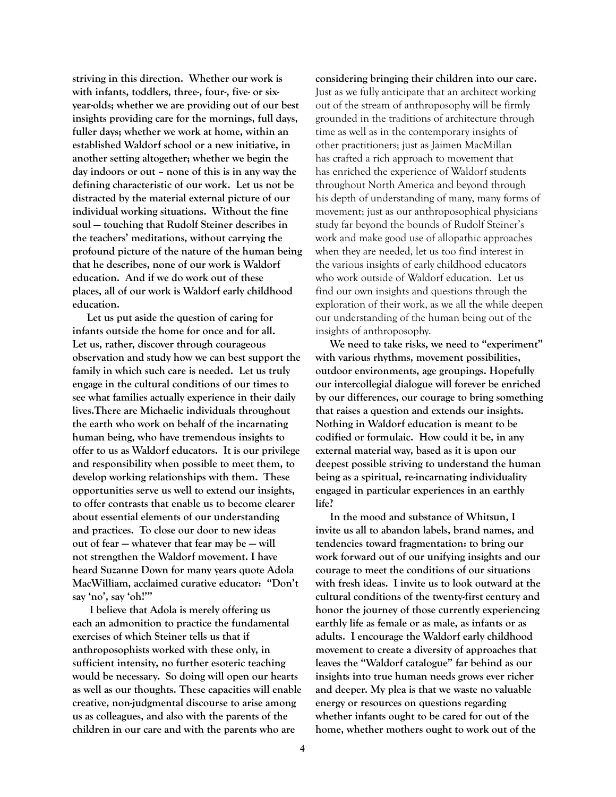**striving in this direction. Whether our work is with infants, toddlers, three-, four-, five- or sixyear-olds; whether we are providing out of our best insights providing care for the mornings, full days, fuller days; whether we work at home, within an established Waldorf school or a new initiative, in another setting altogether; whether we begin the day indoors or out – none of this is in any way the defining characteristic of our work. Let us not be distracted by the material external picture of our individual working situations. Without the fine soul — touching that Rudolf Steiner describes in the teachers' meditations, without carrying the profound picture of the nature of the human being that he describes, none of our work is Waldorf education. And if we do work out of these places, all of our work is Waldorf early childhood education.**

**Let us put aside the question of caring for infants outside the home for once and for all. Let us, rather, discover through courageous observation and study how we can best support the family in which such care is needed. Let us truly engage in the cultural conditions of our times to see what families actually experience in their daily lives.There are Michaelic individuals throughout the earth who work on behalf of the incarnating human being, who have tremendous insights to offer to us as Waldorf educators. It is our privilege and responsibility when possible to meet them, to develop working relationships with them. These opportunities serve us well to extend our insights, to offer contrasts that enable us to become clearer about essential elements of our understanding and practices. To close our door to new ideas out of fear — whatever that fear may be — will not strengthen the Waldorf movement. I have heard Suzanne Down for many years quote Adola MacWilliam, acclaimed curative educator: "Don't say 'no', say 'oh!'"** 

 **I believe that Adola is merely offering us each an admonition to practice the fundamental exercises of which Steiner tells us that if anthroposophists worked with these only, in sufficient intensity, no further esoteric teaching would be necessary. So doing will open our hearts as well as our thoughts. These capacities will enable creative, non-judgmental discourse to arise among us as colleagues, and also with the parents of the children in our care and with the parents who are** 

**considering bringing their children into our care.**  Just as we fully anticipate that an architect working out of the stream of anthroposophy will be firmly grounded in the traditions of architecture through time as well as in the contemporary insights of other practitioners; just as Jaimen MacMillan has crafted a rich approach to movement that has enriched the experience of Waldorf students throughout North America and beyond through his depth of understanding of many, many forms of movement; just as our anthroposophical physicians study far beyond the bounds of Rudolf Steiner's work and make good use of allopathic approaches when they are needed, let us too find interest in the various insights of early childhood educators who work outside of Waldorf education. Let us find our own insights and questions through the exploration of their work, as we all the while deepen our understanding of the human being out of the insights of anthroposophy.

**We need to take risks, we need to "experiment" with various rhythms, movement possibilities, outdoor environments, age groupings. Hopefully our intercollegial dialogue will forever be enriched by our differences, our courage to bring something that raises a question and extends our insights. Nothing in Waldorf education is meant to be codified or formulaic. How could it be, in any external material way, based as it is upon our deepest possible striving to understand the human being as a spiritual, re-incarnating individuality engaged in particular experiences in an earthly life?**

**In the mood and substance of Whitsun, I invite us all to abandon labels, brand names, and tendencies toward fragmentation: to bring our work forward out of our unifying insights and our courage to meet the conditions of our situations with fresh ideas. I invite us to look outward at the cultural conditions of the twenty-first century and honor the journey of those currently experiencing earthly life as female or as male, as infants or as adults. I encourage the Waldorf early childhood movement to create a diversity of approaches that leaves the "Waldorf catalogue" far behind as our insights into true human needs grows ever richer and deeper. My plea is that we waste no valuable energy or resources on questions regarding whether infants ought to be cared for out of the home, whether mothers ought to work out of the**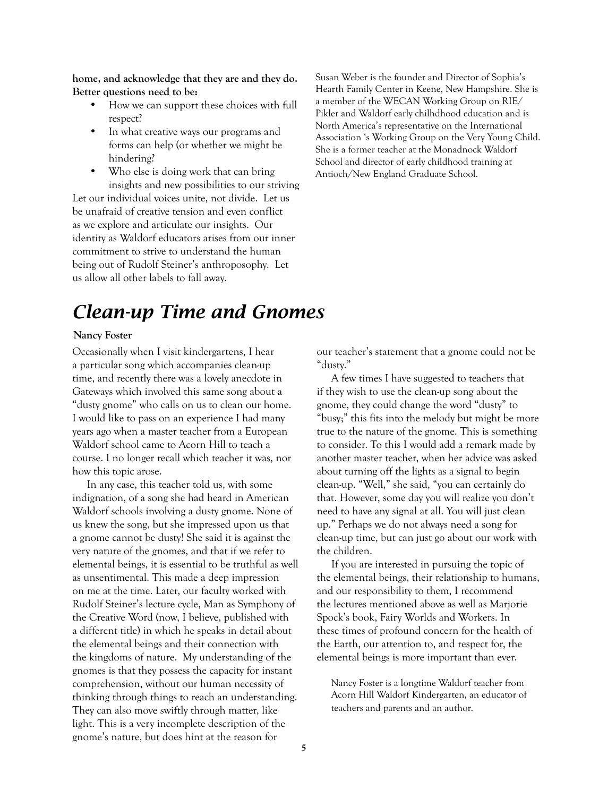**home, and acknowledge that they are and they do. Better questions need to be:**

- How we can support these choices with full respect?
- In what creative ways our programs and forms can help (or whether we might be hindering?
- Who else is doing work that can bring insights and new possibilities to our striving

Let our individual voices unite, not divide. Let us be unafraid of creative tension and even conflict as we explore and articulate our insights. Our identity as Waldorf educators arises from our inner commitment to strive to understand the human being out of Rudolf Steiner's anthroposophy. Let us allow all other labels to fall away.

Susan Weber is the founder and Director of Sophia's Hearth Family Center in Keene, New Hampshire. She is a member of the WECAN Working Group on RIE/ Pikler and Waldorf early chilhdhood education and is North America's representative on the International Association 's Working Group on the Very Young Child. She is a former teacher at the Monadnock Waldorf School and director of early childhood training at Antioch/New England Graduate School.

## *Clean-up Time and Gnomes*

#### **Nancy Foster**

Occasionally when I visit kindergartens, I hear a particular song which accompanies clean-up time, and recently there was a lovely anecdote in Gateways which involved this same song about a "dusty gnome" who calls on us to clean our home. I would like to pass on an experience I had many years ago when a master teacher from a European Waldorf school came to Acorn Hill to teach a course. I no longer recall which teacher it was, nor how this topic arose.

In any case, this teacher told us, with some indignation, of a song she had heard in American Waldorf schools involving a dusty gnome. None of us knew the song, but she impressed upon us that a gnome cannot be dusty! She said it is against the very nature of the gnomes, and that if we refer to elemental beings, it is essential to be truthful as well as unsentimental. This made a deep impression on me at the time. Later, our faculty worked with Rudolf Steiner's lecture cycle, Man as Symphony of the Creative Word (now, I believe, published with a different title) in which he speaks in detail about the elemental beings and their connection with the kingdoms of nature. My understanding of the gnomes is that they possess the capacity for instant comprehension, without our human necessity of thinking through things to reach an understanding. They can also move swiftly through matter, like light. This is a very incomplete description of the gnome's nature, but does hint at the reason for

our teacher's statement that a gnome could not be "dusty."

A few times I have suggested to teachers that if they wish to use the clean-up song about the gnome, they could change the word "dusty" to "busy;" this fits into the melody but might be more true to the nature of the gnome. This is something to consider. To this I would add a remark made by another master teacher, when her advice was asked about turning off the lights as a signal to begin clean-up. "Well," she said, "you can certainly do that. However, some day you will realize you don't need to have any signal at all. You will just clean up." Perhaps we do not always need a song for clean-up time, but can just go about our work with the children.

If you are interested in pursuing the topic of the elemental beings, their relationship to humans, and our responsibility to them, I recommend the lectures mentioned above as well as Marjorie Spock's book, Fairy Worlds and Workers. In these times of profound concern for the health of the Earth, our attention to, and respect for, the elemental beings is more important than ever.

Nancy Foster is a longtime Waldorf teacher from Acorn Hill Waldorf Kindergarten, an educator of teachers and parents and an author.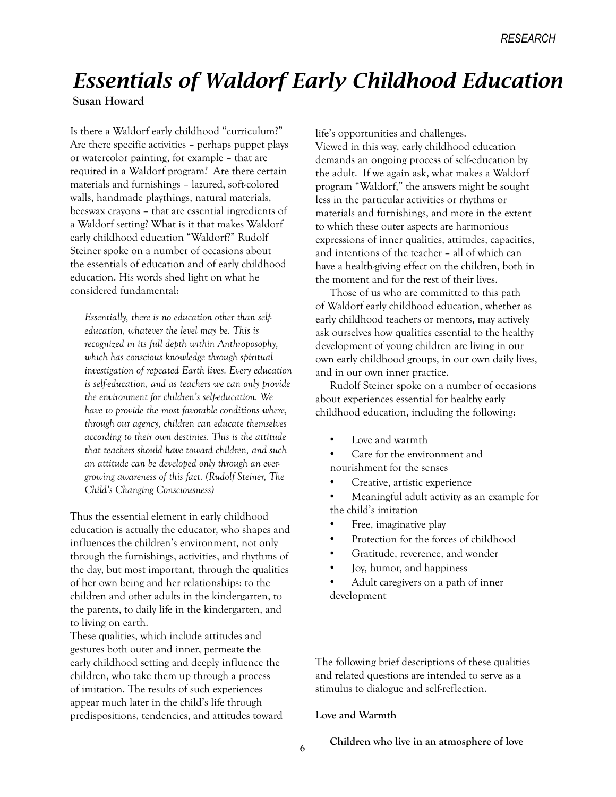# *Essentials of Waldorf Early Childhood Education*

**Susan Howard**

Is there a Waldorf early childhood "curriculum?" Are there specific activities – perhaps puppet plays or watercolor painting, for example – that are required in a Waldorf program? Are there certain materials and furnishings – lazured, soft-colored walls, handmade playthings, natural materials, beeswax crayons – that are essential ingredients of a Waldorf setting? What is it that makes Waldorf early childhood education "Waldorf?" Rudolf Steiner spoke on a number of occasions about the essentials of education and of early childhood education. His words shed light on what he considered fundamental:

*Essentially, there is no education other than selfeducation, whatever the level may be. This is recognized in its full depth within Anthroposophy, which has conscious knowledge through spiritual investigation of repeated Earth lives. Every education is self-education, and as teachers we can only provide the environment for children's self-education. We have to provide the most favorable conditions where, through our agency, children can educate themselves according to their own destinies. This is the attitude that teachers should have toward children, and such an attitude can be developed only through an evergrowing awareness of this fact. (Rudolf Steiner, The Child's Changing Consciousness)*

Thus the essential element in early childhood education is actually the educator, who shapes and influences the children's environment, not only through the furnishings, activities, and rhythms of the day, but most important, through the qualities of her own being and her relationships: to the children and other adults in the kindergarten, to the parents, to daily life in the kindergarten, and to living on earth.

These qualities, which include attitudes and gestures both outer and inner, permeate the early childhood setting and deeply influence the children, who take them up through a process of imitation. The results of such experiences appear much later in the child's life through predispositions, tendencies, and attitudes toward

life's opportunities and challenges. Viewed in this way, early childhood education demands an ongoing process of self-education by the adult. If we again ask, what makes a Waldorf program "Waldorf," the answers might be sought less in the particular activities or rhythms or materials and furnishings, and more in the extent to which these outer aspects are harmonious expressions of inner qualities, attitudes, capacities, and intentions of the teacher – all of which can have a health-giving effect on the children, both in the moment and for the rest of their lives.

Those of us who are committed to this path of Waldorf early childhood education, whether as early childhood teachers or mentors, may actively ask ourselves how qualities essential to the healthy development of young children are living in our own early childhood groups, in our own daily lives, and in our own inner practice.

Rudolf Steiner spoke on a number of occasions about experiences essential for healthy early childhood education, including the following:

- Love and warmth
- Care for the environment and nourishment for the senses
- Creative, artistic experience

• Meaningful adult activity as an example for the child's imitation

- Free, imaginative play
- Protection for the forces of childhood
- Gratitude, reverence, and wonder
- Joy, humor, and happiness
- Adult caregivers on a path of inner development

The following brief descriptions of these qualities and related questions are intended to serve as a stimulus to dialogue and self-reflection.

#### **Love and Warmth**

**Children who live in an atmosphere of love**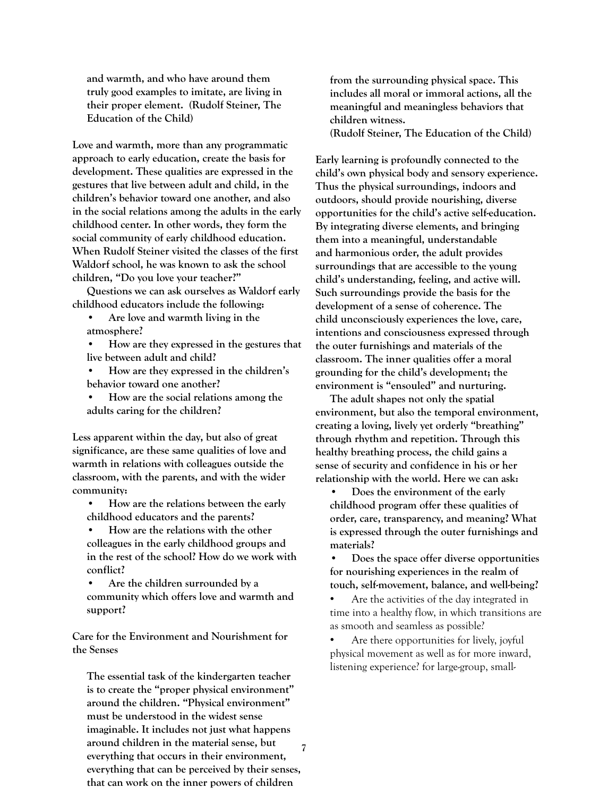**and warmth, and who have around them truly good examples to imitate, are living in their proper element. (Rudolf Steiner, The Education of the Child)**

**Love and warmth, more than any programmatic approach to early education, create the basis for development. These qualities are expressed in the gestures that live between adult and child, in the children's behavior toward one another, and also in the social relations among the adults in the early childhood center. In other words, they form the social community of early childhood education. When Rudolf Steiner visited the classes of the first Waldorf school, he was known to ask the school children, "Do you love your teacher?"** 

**Questions we can ask ourselves as Waldorf early childhood educators include the following:** 

- **Are love and warmth living in the atmosphere?**
- **How are they expressed in the gestures that live between adult and child?**
- **How are they expressed in the children's behavior toward one another?**
- **How are the social relations among the adults caring for the children?**

**Less apparent within the day, but also of great significance, are these same qualities of love and warmth in relations with colleagues outside the classroom, with the parents, and with the wider community:**

- **How are the relations between the early childhood educators and the parents?**
- **How are the relations with the other colleagues in the early childhood groups and in the rest of the school? How do we work with conflict?**
- **Are the children surrounded by a community which offers love and warmth and support?**

**Care for the Environment and Nourishment for the Senses**

**7 The essential task of the kindergarten teacher is to create the "proper physical environment" around the children. "Physical environment" must be understood in the widest sense imaginable. It includes not just what happens around children in the material sense, but everything that occurs in their environment, everything that can be perceived by their senses, that can work on the inner powers of children** 

**from the surrounding physical space. This includes all moral or immoral actions, all the meaningful and meaningless behaviors that children witness. (Rudolf Steiner, The Education of the Child)**

**Early learning is profoundly connected to the child's own physical body and sensory experience. Thus the physical surroundings, indoors and outdoors, should provide nourishing, diverse opportunities for the child's active self-education. By integrating diverse elements, and bringing them into a meaningful, understandable and harmonious order, the adult provides surroundings that are accessible to the young child's understanding, feeling, and active will. Such surroundings provide the basis for the development of a sense of coherence. The child unconsciously experiences the love, care, intentions and consciousness expressed through the outer furnishings and materials of the classroom. The inner qualities offer a moral grounding for the child's development; the environment is "ensouled" and nurturing.** 

**The adult shapes not only the spatial environment, but also the temporal environment, creating a loving, lively yet orderly "breathing" through rhythm and repetition. Through this healthy breathing process, the child gains a sense of security and confidence in his or her relationship with the world. Here we can ask:** 

**• Does the environment of the early childhood program offer these qualities of order, care, transparency, and meaning? What is expressed through the outer furnishings and materials?**

**• Does the space offer diverse opportunities for nourishing experiences in the realm of touch, self-movement, balance, and well-being?**

• Are the activities of the day integrated in time into a healthy flow, in which transitions are as smooth and seamless as possible?

• Are there opportunities for lively, joyful physical movement as well as for more inward, listening experience? for large-group, small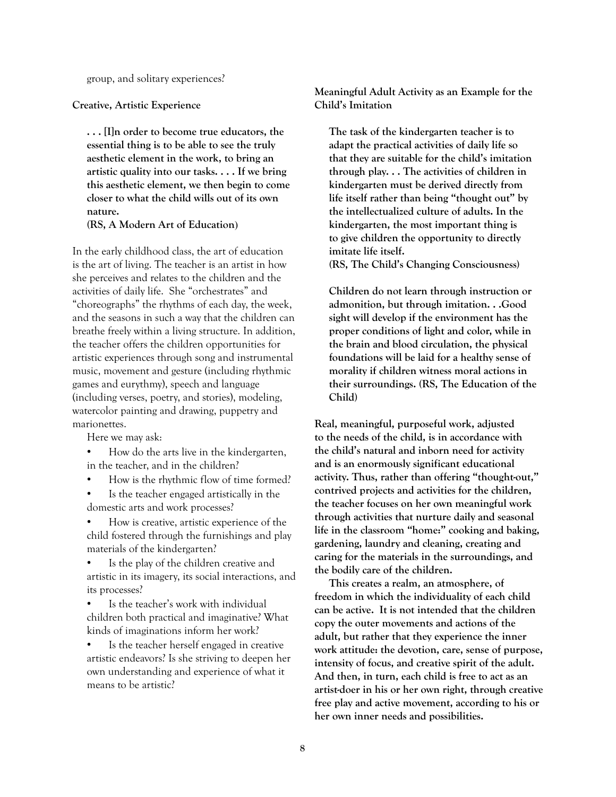group, and solitary experiences?

**Creative, Artistic Experience**

**. . . [I]n order to become true educators, the essential thing is to be able to see the truly aesthetic element in the work, to bring an artistic quality into our tasks. . . . If we bring this aesthetic element, we then begin to come closer to what the child wills out of its own nature.**

**(RS, A Modern Art of Education**)

In the early childhood class, the art of education is the art of living. The teacher is an artist in how she perceives and relates to the children and the activities of daily life. She "orchestrates" and "choreographs" the rhythms of each day, the week, and the seasons in such a way that the children can breathe freely within a living structure. In addition, the teacher offers the children opportunities for artistic experiences through song and instrumental music, movement and gesture (including rhythmic games and eurythmy), speech and language (including verses, poetry, and stories), modeling, watercolor painting and drawing, puppetry and marionettes.

Here we may ask:

- How do the arts live in the kindergarten, in the teacher, and in the children?
- How is the rhythmic flow of time formed?
- Is the teacher engaged artistically in the domestic arts and work processes?

• How is creative, artistic experience of the child fostered through the furnishings and play materials of the kindergarten?

Is the play of the children creative and artistic in its imagery, its social interactions, and its processes?

Is the teacher's work with individual children both practical and imaginative? What kinds of imaginations inform her work?

Is the teacher herself engaged in creative artistic endeavors? Is she striving to deepen her own understanding and experience of what it means to be artistic?

**Meaningful Adult Activity as an Example for the Child's Imitation**

**The task of the kindergarten teacher is to adapt the practical activities of daily life so that they are suitable for the child's imitation through play. . . The activities of children in kindergarten must be derived directly from life itself rather than being "thought out" by the intellectualized culture of adults. In the kindergarten, the most important thing is to give children the opportunity to directly imitate life itself. (RS, The Child's Changing Consciousness)**

**Children do not learn through instruction or admonition, but through imitation. . .Good sight will develop if the environment has the proper conditions of light and color, while in the brain and blood circulation, the physical foundations will be laid for a healthy sense of morality if children witness moral actions in their surroundings. (RS, The Education of the Child)**

**Real, meaningful, purposeful work, adjusted to the needs of the child, is in accordance with the child's natural and inborn need for activity and is an enormously significant educational activity. Thus, rather than offering "thought-out," contrived projects and activities for the children, the teacher focuses on her own meaningful work through activities that nurture daily and seasonal life in the classroom "home:" cooking and baking, gardening, laundry and cleaning, creating and caring for the materials in the surroundings, and the bodily care of the children.** 

**This creates a realm, an atmosphere, of freedom in which the individuality of each child can be active. It is not intended that the children copy the outer movements and actions of the adult, but rather that they experience the inner work attitude: the devotion, care, sense of purpose, intensity of focus, and creative spirit of the adult. And then, in turn, each child is free to act as an artist-doer in his or her own right, through creative free play and active movement, according to his or her own inner needs and possibilities.**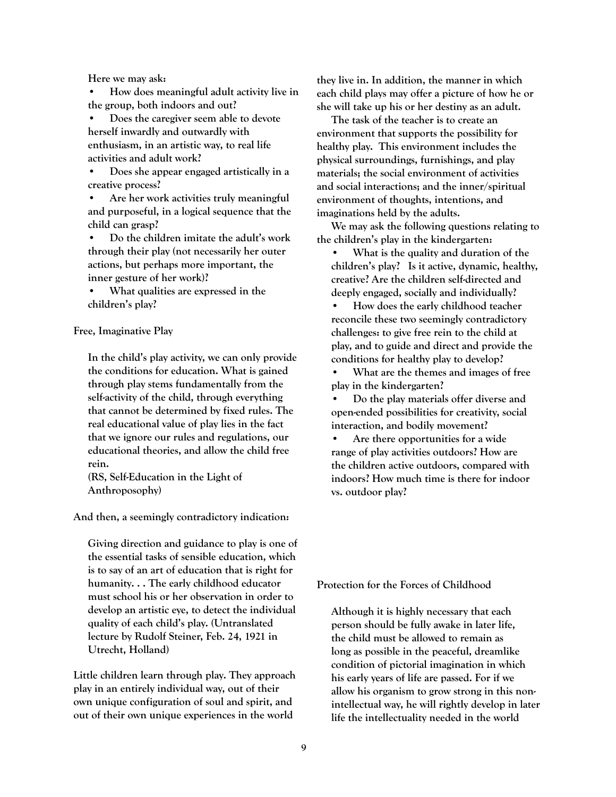**Here we may ask:**

**• How does meaningful adult activity live in the group, both indoors and out?** 

**• Does the caregiver seem able to devote herself inwardly and outwardly with enthusiasm, in an artistic way, to real life activities and adult work?** 

**• Does she appear engaged artistically in a creative process?** 

**• Are her work activities truly meaningful and purposeful, in a logical sequence that the child can grasp?**

**• Do the children imitate the adult's work through their play (not necessarily her outer actions, but perhaps more important, the inner gesture of her work)?**

**• What qualities are expressed in the children's play?**

#### **Free, Imaginative Play**

**In the child's play activity, we can only provide the conditions for education. What is gained through play stems fundamentally from the self-activity of the child, through everything that cannot be determined by fixed rules. The real educational value of play lies in the fact that we ignore our rules and regulations, our educational theories, and allow the child free rein.** 

**(RS, Self-Education in the Light of Anthroposophy)**

**And then, a seemingly contradictory indication:**

**Giving direction and guidance to play is one of the essential tasks of sensible education, which is to say of an art of education that is right for humanity. . . The early childhood educator must school his or her observation in order to develop an artistic eye, to detect the individual quality of each child's play. (Untranslated lecture by Rudolf Steiner, Feb. 24, 1921 in Utrecht, Holland)**

**Little children learn through play. They approach play in an entirely individual way, out of their own unique configuration of soul and spirit, and out of their own unique experiences in the world** 

**they live in. In addition, the manner in which each child plays may offer a picture of how he or she will take up his or her destiny as an adult.** 

**The task of the teacher is to create an environment that supports the possibility for healthy play. This environment includes the physical surroundings, furnishings, and play materials; the social environment of activities and social interactions; and the inner/spiritual environment of thoughts, intentions, and imaginations held by the adults.** 

**We may ask the following questions relating to the children's play in the kindergarten:**

**• What is the quality and duration of the children's play? Is it active, dynamic, healthy, creative? Are the children self-directed and deeply engaged, socially and individually?** 

**• How does the early childhood teacher reconcile these two seemingly contradictory challenges: to give free rein to the child at play, and to guide and direct and provide the conditions for healthy play to develop?** 

**• What are the themes and images of free play in the kindergarten?** 

**• Do the play materials offer diverse and open-ended possibilities for creativity, social interaction, and bodily movement?**

**• Are there opportunities for a wide range of play activities outdoors? How are the children active outdoors, compared with indoors? How much time is there for indoor vs. outdoor play?**

**Protection for the Forces of Childhood**

**Although it is highly necessary that each person should be fully awake in later life, the child must be allowed to remain as long as possible in the peaceful, dreamlike condition of pictorial imagination in which his early years of life are passed. For if we allow his organism to grow strong in this nonintellectual way, he will rightly develop in later life the intellectuality needed in the world**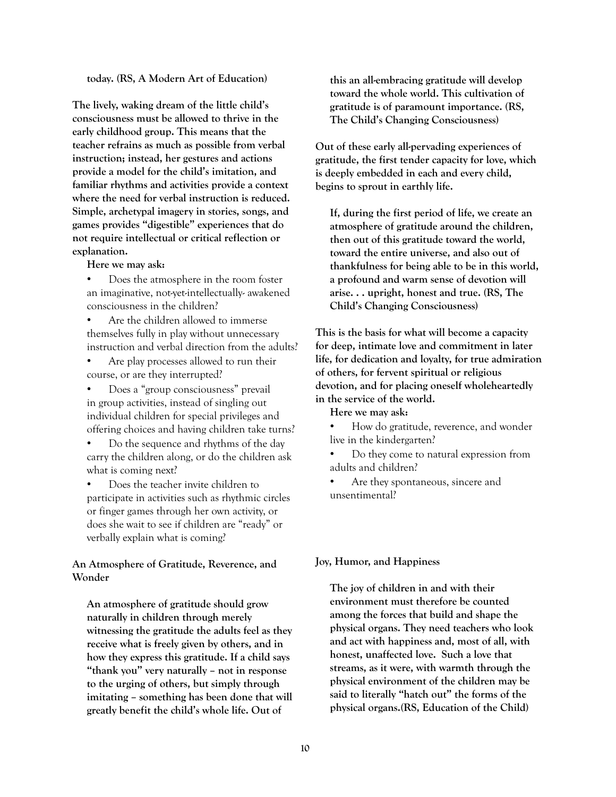#### **today. (RS, A Modern Art of Education)**

**The lively, waking dream of the little child's consciousness must be allowed to thrive in the early childhood group. This means that the teacher refrains as much as possible from verbal instruction; instead, her gestures and actions provide a model for the child's imitation, and familiar rhythms and activities provide a context where the need for verbal instruction is reduced. Simple, archetypal imagery in stories, songs, and games provides "digestible" experiences that do not require intellectual or critical reflection or explanation.** 

- **Here we may ask:**
- Does the atmosphere in the room foster an imaginative, not-yet-intellectually- awakened consciousness in the children?
- Are the children allowed to immerse themselves fully in play without unnecessary instruction and verbal direction from the adults?
- Are play processes allowed to run their course, or are they interrupted?
- Does a "group consciousness" prevail in group activities, instead of singling out individual children for special privileges and offering choices and having children take turns?
- Do the sequence and rhythms of the day carry the children along, or do the children ask what is coming next?
- Does the teacher invite children to participate in activities such as rhythmic circles or finger games through her own activity, or does she wait to see if children are "ready" or verbally explain what is coming?

#### **An Atmosphere of Gratitude, Reverence, and Wonder**

**An atmosphere of gratitude should grow naturally in children through merely witnessing the gratitude the adults feel as they receive what is freely given by others, and in how they express this gratitude. If a child says "thank you" very naturally – not in response to the urging of others, but simply through imitating – something has been done that will greatly benefit the child's whole life. Out of** 

**this an all-embracing gratitude will develop toward the whole world. This cultivation of gratitude is of paramount importance. (RS, The Child's Changing Consciousness)**

**Out of these early all-pervading experiences of gratitude, the first tender capacity for love, which is deeply embedded in each and every child, begins to sprout in earthly life.** 

**If, during the first period of life, we create an atmosphere of gratitude around the children, then out of this gratitude toward the world, toward the entire universe, and also out of thankfulness for being able to be in this world, a profound and warm sense of devotion will arise. . . upright, honest and true. (RS, The Child's Changing Consciousness)**

**This is the basis for what will become a capacity for deep, intimate love and commitment in later life, for dedication and loyalty, for true admiration of others, for fervent spiritual or religious devotion, and for placing oneself wholeheartedly in the service of the world.** 

**Here we may ask:**

• How do gratitude, reverence, and wonder live in the kindergarten?

• Do they come to natural expression from adults and children?

Are they spontaneous, sincere and unsentimental?

#### **Joy, Humor, and Happiness**

**The joy of children in and with their environment must therefore be counted among the forces that build and shape the physical organs. They need teachers who look and act with happiness and, most of all, with honest, unaffected love. Such a love that streams, as it were, with warmth through the physical environment of the children may be said to literally "hatch out" the forms of the physical organs.(RS, Education of the Child)**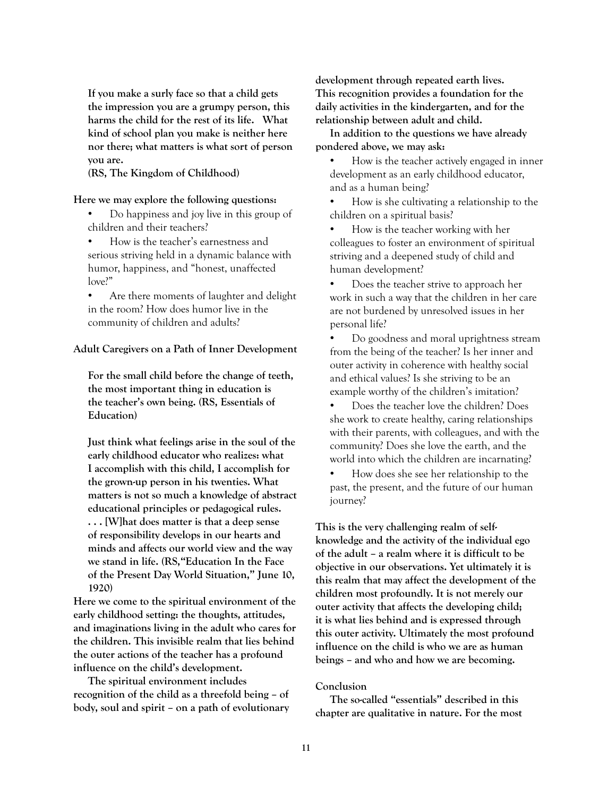**If you make a surly face so that a child gets the impression you are a grumpy person, this harms the child for the rest of its life. What kind of school plan you make is neither here nor there; what matters is what sort of person you are.** 

**(RS, The Kingdom of Childhood)** 

#### **Here we may explore the following questions:**

- Do happiness and joy live in this group of children and their teachers?
- How is the teacher's earnestness and serious striving held in a dynamic balance with humor, happiness, and "honest, unaffected love?"
- Are there moments of laughter and delight in the room? How does humor live in the community of children and adults?

#### **Adult Caregivers on a Path of Inner Development**

**For the small child before the change of teeth, the most important thing in education is the teacher's own being. (RS, Essentials of Education)**

**Just think what feelings arise in the soul of the early childhood educator who realizes: what I accomplish with this child, I accomplish for the grown-up person in his twenties. What matters is not so much a knowledge of abstract educational principles or pedagogical rules. . . . [W]hat does matter is that a deep sense of responsibility develops in our hearts and minds and affects our world view and the way we stand in life. (RS,"Education In the Face of the Present Day World Situation," June 10, 1920)**

**Here we come to the spiritual environment of the early childhood setting: the thoughts, attitudes, and imaginations living in the adult who cares for the children. This invisible realm that lies behind the outer actions of the teacher has a profound influence on the child's development.** 

**The spiritual environment includes recognition of the child as a threefold being – of body, soul and spirit – on a path of evolutionary** 

**development through repeated earth lives. This recognition provides a foundation for the daily activities in the kindergarten, and for the relationship between adult and child.** 

**In addition to the questions we have already pondered above, we may ask:** 

• How is the teacher actively engaged in inner development as an early childhood educator, and as a human being?

• How is she cultivating a relationship to the children on a spiritual basis?

- How is the teacher working with her colleagues to foster an environment of spiritual striving and a deepened study of child and human development?
- Does the teacher strive to approach her work in such a way that the children in her care are not burdened by unresolved issues in her personal life?

• Do goodness and moral uprightness stream from the being of the teacher? Is her inner and outer activity in coherence with healthy social and ethical values? Is she striving to be an example worthy of the children's imitation?

• Does the teacher love the children? Does she work to create healthy, caring relationships with their parents, with colleagues, and with the community? Does she love the earth, and the world into which the children are incarnating?

• How does she see her relationship to the past, the present, and the future of our human journey?

**This is the very challenging realm of selfknowledge and the activity of the individual ego of the adult – a realm where it is difficult to be objective in our observations. Yet ultimately it is this realm that may affect the development of the children most profoundly. It is not merely our outer activity that affects the developing child; it is what lies behind and is expressed through this outer activity. Ultimately the most profound influence on the child is who we are as human beings – and who and how we are becoming.**

#### **Conclusion**

**The so-called "essentials" described in this chapter are qualitative in nature. For the most**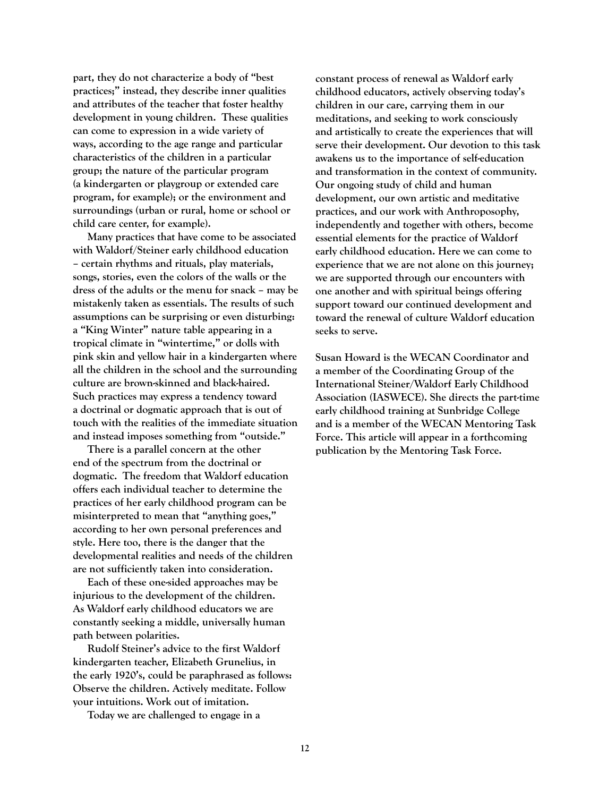**part, they do not characterize a body of "best practices;" instead, they describe inner qualities and attributes of the teacher that foster healthy development in young children. These qualities can come to expression in a wide variety of ways, according to the age range and particular characteristics of the children in a particular group; the nature of the particular program (a kindergarten or playgroup or extended care program, for example); or the environment and surroundings (urban or rural, home or school or child care center, for example).** 

**Many practices that have come to be associated with Waldorf/Steiner early childhood education – certain rhythms and rituals, play materials, songs, stories, even the colors of the walls or the dress of the adults or the menu for snack – may be mistakenly taken as essentials. The results of such assumptions can be surprising or even disturbing: a "King Winter" nature table appearing in a tropical climate in "wintertime," or dolls with pink skin and yellow hair in a kindergarten where all the children in the school and the surrounding culture are brown-skinned and black-haired. Such practices may express a tendency toward a doctrinal or dogmatic approach that is out of touch with the realities of the immediate situation and instead imposes something from "outside."** 

**There is a parallel concern at the other end of the spectrum from the doctrinal or dogmatic. The freedom that Waldorf education offers each individual teacher to determine the practices of her early childhood program can be misinterpreted to mean that "anything goes," according to her own personal preferences and style. Here too, there is the danger that the developmental realities and needs of the children are not sufficiently taken into consideration.** 

**Each of these one-sided approaches may be injurious to the development of the children. As Waldorf early childhood educators we are constantly seeking a middle, universally human path between polarities.** 

**Rudolf Steiner's advice to the first Waldorf kindergarten teacher, Elizabeth Grunelius, in the early 1920's, could be paraphrased as follows: Observe the children. Actively meditate. Follow your intuitions. Work out of imitation.** 

**Today we are challenged to engage in a** 

**constant process of renewal as Waldorf early childhood educators, actively observing today's children in our care, carrying them in our meditations, and seeking to work consciously and artistically to create the experiences that will serve their development. Our devotion to this task awakens us to the importance of self-education and transformation in the context of community. Our ongoing study of child and human development, our own artistic and meditative practices, and our work with Anthroposophy, independently and together with others, become essential elements for the practice of Waldorf early childhood education. Here we can come to experience that we are not alone on this journey; we are supported through our encounters with one another and with spiritual beings offering support toward our continued development and toward the renewal of culture Waldorf education seeks to serve.** 

**Susan Howard is the WECAN Coordinator and a member of the Coordinating Group of the International Steiner/Waldorf Early Childhood Association (IASWECE). She directs the part-time early childhood training at Sunbridge College and is a member of the WECAN Mentoring Task Force. This article will appear in a forthcoming publication by the Mentoring Task Force.**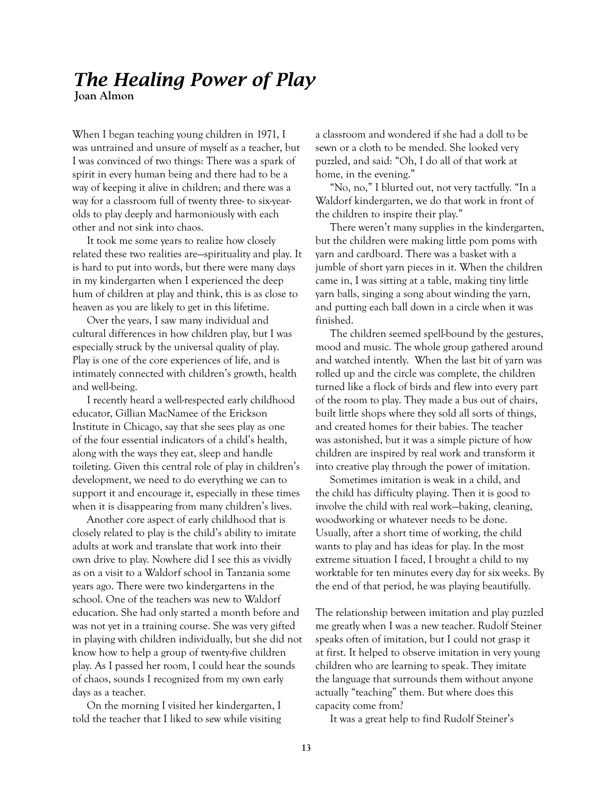# *The Healing Power of Play*

**Joan Almon**

When I began teaching young children in 1971, I was untrained and unsure of myself as a teacher, but I was convinced of two things: There was a spark of spirit in every human being and there had to be a way of keeping it alive in children; and there was a way for a classroom full of twenty three- to six-yearolds to play deeply and harmoniously with each other and not sink into chaos.

It took me some years to realize how closely related these two realities are—spirituality and play. It is hard to put into words, but there were many days in my kindergarten when I experienced the deep hum of children at play and think, this is as close to heaven as you are likely to get in this lifetime.

Over the years, I saw many individual and cultural differences in how children play, but I was especially struck by the universal quality of play. Play is one of the core experiences of life, and is intimately connected with children's growth, health and well-being.

I recently heard a well-respected early childhood educator, Gillian MacNamee of the Erickson Institute in Chicago, say that she sees play as one of the four essential indicators of a child's health, along with the ways they eat, sleep and handle toileting. Given this central role of play in children's development, we need to do everything we can to support it and encourage it, especially in these times when it is disappearing from many children's lives.

Another core aspect of early childhood that is closely related to play is the child's ability to imitate adults at work and translate that work into their own drive to play. Nowhere did I see this as vividly as on a visit to a Waldorf school in Tanzania some years ago. There were two kindergartens in the school. One of the teachers was new to Waldorf education. She had only started a month before and was not yet in a training course. She was very gifted in playing with children individually, but she did not know how to help a group of twenty-five children play. As I passed her room, I could hear the sounds of chaos, sounds I recognized from my own early days as a teacher.

On the morning I visited her kindergarten, I told the teacher that I liked to sew while visiting a classroom and wondered if she had a doll to be sewn or a cloth to be mended. She looked very puzzled, and said: "Oh, I do all of that work at home, in the evening."

"No, no," I blurted out, not very tactfully. "In a Waldorf kindergarten, we do that work in front of the children to inspire their play."

There weren't many supplies in the kindergarten, but the children were making little pom poms with yarn and cardboard. There was a basket with a jumble of short yarn pieces in it. When the children came in, I was sitting at a table, making tiny little yarn balls, singing a song about winding the yarn, and putting each ball down in a circle when it was finished.

The children seemed spell-bound by the gestures, mood and music. The whole group gathered around and watched intently. When the last bit of yarn was rolled up and the circle was complete, the children turned like a flock of birds and flew into every part of the room to play. They made a bus out of chairs, built little shops where they sold all sorts of things, and created homes for their babies. The teacher was astonished, but it was a simple picture of how children are inspired by real work and transform it into creative play through the power of imitation.

Sometimes imitation is weak in a child, and the child has difficulty playing. Then it is good to involve the child with real work—baking, cleaning, woodworking or whatever needs to be done. Usually, after a short time of working, the child wants to play and has ideas for play. In the most extreme situation I faced, I brought a child to my worktable for ten minutes every day for six weeks. By the end of that period, he was playing beautifully.

The relationship between imitation and play puzzled me greatly when I was a new teacher. Rudolf Steiner speaks often of imitation, but I could not grasp it at first. It helped to observe imitation in very young children who are learning to speak. They imitate the language that surrounds them without anyone actually "teaching" them. But where does this capacity come from?

It was a great help to find Rudolf Steiner's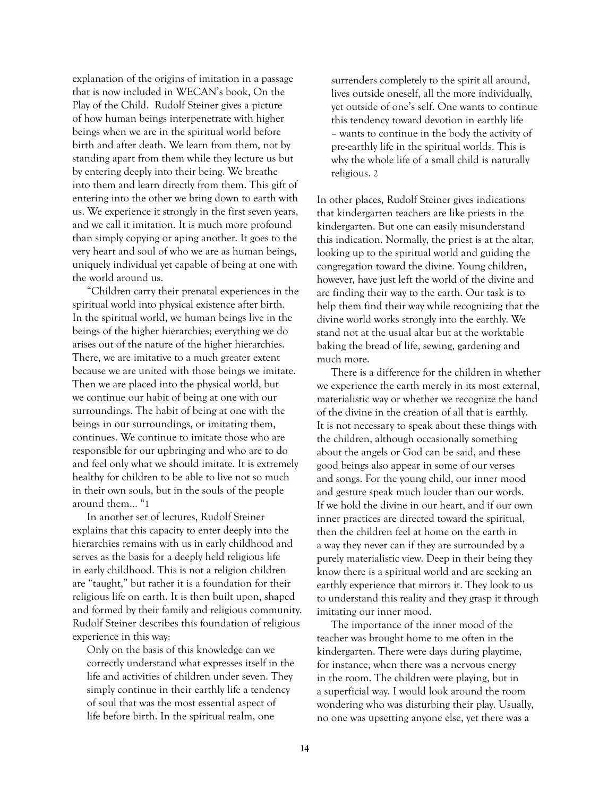explanation of the origins of imitation in a passage that is now included in WECAN's book, On the Play of the Child. Rudolf Steiner gives a picture of how human beings interpenetrate with higher beings when we are in the spiritual world before birth and after death. We learn from them, not by standing apart from them while they lecture us but by entering deeply into their being. We breathe into them and learn directly from them. This gift of entering into the other we bring down to earth with us. We experience it strongly in the first seven years, and we call it imitation. It is much more profound than simply copying or aping another. It goes to the very heart and soul of who we are as human beings, uniquely individual yet capable of being at one with the world around us.

"Children carry their prenatal experiences in the spiritual world into physical existence after birth. In the spiritual world, we human beings live in the beings of the higher hierarchies; everything we do arises out of the nature of the higher hierarchies. There, we are imitative to a much greater extent because we are united with those beings we imitate. Then we are placed into the physical world, but we continue our habit of being at one with our surroundings. The habit of being at one with the beings in our surroundings, or imitating them, continues. We continue to imitate those who are responsible for our upbringing and who are to do and feel only what we should imitate. It is extremely healthy for children to be able to live not so much in their own souls, but in the souls of the people around them… "1

In another set of lectures, Rudolf Steiner explains that this capacity to enter deeply into the hierarchies remains with us in early childhood and serves as the basis for a deeply held religious life in early childhood. This is not a religion children are "taught," but rather it is a foundation for their religious life on earth. It is then built upon, shaped and formed by their family and religious community. Rudolf Steiner describes this foundation of religious experience in this way:

Only on the basis of this knowledge can we correctly understand what expresses itself in the life and activities of children under seven. They simply continue in their earthly life a tendency of soul that was the most essential aspect of life before birth. In the spiritual realm, one

surrenders completely to the spirit all around, lives outside oneself, all the more individually, yet outside of one's self. One wants to continue this tendency toward devotion in earthly life – wants to continue in the body the activity of pre-earthly life in the spiritual worlds. This is why the whole life of a small child is naturally religious. 2

In other places, Rudolf Steiner gives indications that kindergarten teachers are like priests in the kindergarten. But one can easily misunderstand this indication. Normally, the priest is at the altar, looking up to the spiritual world and guiding the congregation toward the divine. Young children, however, have just left the world of the divine and are finding their way to the earth. Our task is to help them find their way while recognizing that the divine world works strongly into the earthly. We stand not at the usual altar but at the worktable baking the bread of life, sewing, gardening and much more.

There is a difference for the children in whether we experience the earth merely in its most external, materialistic way or whether we recognize the hand of the divine in the creation of all that is earthly. It is not necessary to speak about these things with the children, although occasionally something about the angels or God can be said, and these good beings also appear in some of our verses and songs. For the young child, our inner mood and gesture speak much louder than our words. If we hold the divine in our heart, and if our own inner practices are directed toward the spiritual, then the children feel at home on the earth in a way they never can if they are surrounded by a purely materialistic view. Deep in their being they know there is a spiritual world and are seeking an earthly experience that mirrors it. They look to us to understand this reality and they grasp it through imitating our inner mood.

The importance of the inner mood of the teacher was brought home to me often in the kindergarten. There were days during playtime, for instance, when there was a nervous energy in the room. The children were playing, but in a superficial way. I would look around the room wondering who was disturbing their play. Usually, no one was upsetting anyone else, yet there was a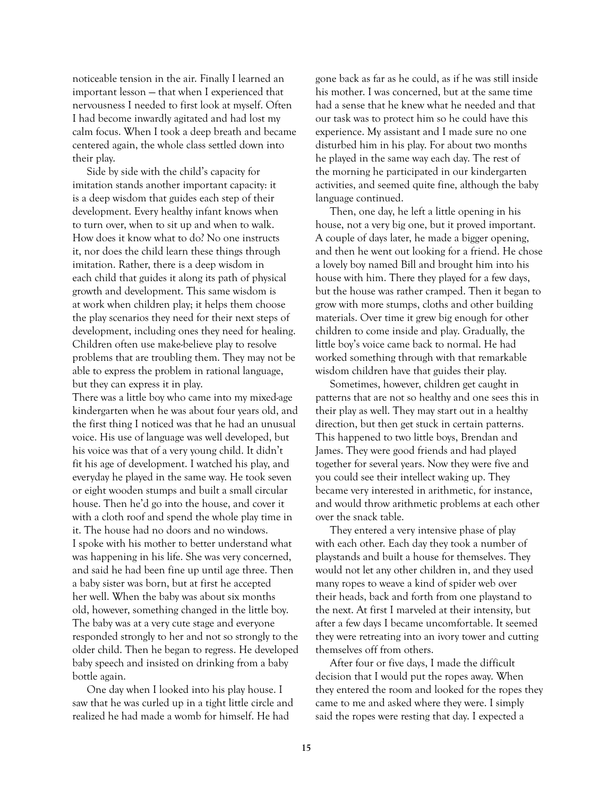noticeable tension in the air. Finally I learned an important lesson — that when I experienced that nervousness I needed to first look at myself. Often I had become inwardly agitated and had lost my calm focus. When I took a deep breath and became centered again, the whole class settled down into their play.

Side by side with the child's capacity for imitation stands another important capacity: it is a deep wisdom that guides each step of their development. Every healthy infant knows when to turn over, when to sit up and when to walk. How does it know what to do? No one instructs it, nor does the child learn these things through imitation. Rather, there is a deep wisdom in each child that guides it along its path of physical growth and development. This same wisdom is at work when children play; it helps them choose the play scenarios they need for their next steps of development, including ones they need for healing. Children often use make-believe play to resolve problems that are troubling them. They may not be able to express the problem in rational language, but they can express it in play.

There was a little boy who came into my mixed-age kindergarten when he was about four years old, and the first thing I noticed was that he had an unusual voice. His use of language was well developed, but his voice was that of a very young child. It didn't fit his age of development. I watched his play, and everyday he played in the same way. He took seven or eight wooden stumps and built a small circular house. Then he'd go into the house, and cover it with a cloth roof and spend the whole play time in it. The house had no doors and no windows. I spoke with his mother to better understand what was happening in his life. She was very concerned, and said he had been fine up until age three. Then a baby sister was born, but at first he accepted her well. When the baby was about six months old, however, something changed in the little boy. The baby was at a very cute stage and everyone responded strongly to her and not so strongly to the older child. Then he began to regress. He developed baby speech and insisted on drinking from a baby bottle again.

One day when I looked into his play house. I saw that he was curled up in a tight little circle and realized he had made a womb for himself. He had

gone back as far as he could, as if he was still inside his mother. I was concerned, but at the same time had a sense that he knew what he needed and that our task was to protect him so he could have this experience. My assistant and I made sure no one disturbed him in his play. For about two months he played in the same way each day. The rest of the morning he participated in our kindergarten activities, and seemed quite fine, although the baby language continued.

Then, one day, he left a little opening in his house, not a very big one, but it proved important. A couple of days later, he made a bigger opening, and then he went out looking for a friend. He chose a lovely boy named Bill and brought him into his house with him. There they played for a few days, but the house was rather cramped. Then it began to grow with more stumps, cloths and other building materials. Over time it grew big enough for other children to come inside and play. Gradually, the little boy's voice came back to normal. He had worked something through with that remarkable wisdom children have that guides their play.

Sometimes, however, children get caught in patterns that are not so healthy and one sees this in their play as well. They may start out in a healthy direction, but then get stuck in certain patterns. This happened to two little boys, Brendan and James. They were good friends and had played together for several years. Now they were five and you could see their intellect waking up. They became very interested in arithmetic, for instance, and would throw arithmetic problems at each other over the snack table.

They entered a very intensive phase of play with each other. Each day they took a number of playstands and built a house for themselves. They would not let any other children in, and they used many ropes to weave a kind of spider web over their heads, back and forth from one playstand to the next. At first I marveled at their intensity, but after a few days I became uncomfortable. It seemed they were retreating into an ivory tower and cutting themselves off from others.

After four or five days, I made the difficult decision that I would put the ropes away. When they entered the room and looked for the ropes they came to me and asked where they were. I simply said the ropes were resting that day. I expected a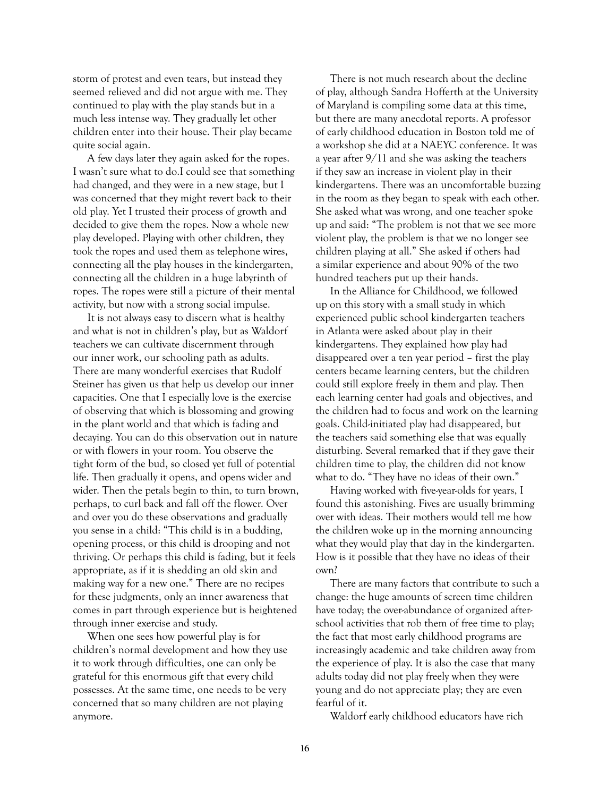storm of protest and even tears, but instead they seemed relieved and did not argue with me. They continued to play with the play stands but in a much less intense way. They gradually let other children enter into their house. Their play became quite social again.

A few days later they again asked for the ropes. I wasn't sure what to do.I could see that something had changed, and they were in a new stage, but I was concerned that they might revert back to their old play. Yet I trusted their process of growth and decided to give them the ropes. Now a whole new play developed. Playing with other children, they took the ropes and used them as telephone wires, connecting all the play houses in the kindergarten, connecting all the children in a huge labyrinth of ropes. The ropes were still a picture of their mental activity, but now with a strong social impulse.

It is not always easy to discern what is healthy and what is not in children's play, but as Waldorf teachers we can cultivate discernment through our inner work, our schooling path as adults. There are many wonderful exercises that Rudolf Steiner has given us that help us develop our inner capacities. One that I especially love is the exercise of observing that which is blossoming and growing in the plant world and that which is fading and decaying. You can do this observation out in nature or with flowers in your room. You observe the tight form of the bud, so closed yet full of potential life. Then gradually it opens, and opens wider and wider. Then the petals begin to thin, to turn brown, perhaps, to curl back and fall off the flower. Over and over you do these observations and gradually you sense in a child: "This child is in a budding, opening process, or this child is drooping and not thriving. Or perhaps this child is fading, but it feels appropriate, as if it is shedding an old skin and making way for a new one." There are no recipes for these judgments, only an inner awareness that comes in part through experience but is heightened through inner exercise and study.

When one sees how powerful play is for children's normal development and how they use it to work through difficulties, one can only be grateful for this enormous gift that every child possesses. At the same time, one needs to be very concerned that so many children are not playing anymore.

There is not much research about the decline of play, although Sandra Hofferth at the University of Maryland is compiling some data at this time, but there are many anecdotal reports. A professor of early childhood education in Boston told me of a workshop she did at a NAEYC conference. It was a year after 9/11 and she was asking the teachers if they saw an increase in violent play in their kindergartens. There was an uncomfortable buzzing in the room as they began to speak with each other. She asked what was wrong, and one teacher spoke up and said: "The problem is not that we see more violent play, the problem is that we no longer see children playing at all." She asked if others had a similar experience and about 90% of the two hundred teachers put up their hands.

In the Alliance for Childhood, we followed up on this story with a small study in which experienced public school kindergarten teachers in Atlanta were asked about play in their kindergartens. They explained how play had disappeared over a ten year period – first the play centers became learning centers, but the children could still explore freely in them and play. Then each learning center had goals and objectives, and the children had to focus and work on the learning goals. Child-initiated play had disappeared, but the teachers said something else that was equally disturbing. Several remarked that if they gave their children time to play, the children did not know what to do. "They have no ideas of their own."

Having worked with five-year-olds for years, I found this astonishing. Fives are usually brimming over with ideas. Their mothers would tell me how the children woke up in the morning announcing what they would play that day in the kindergarten. How is it possible that they have no ideas of their own?

There are many factors that contribute to such a change: the huge amounts of screen time children have today; the over-abundance of organized afterschool activities that rob them of free time to play; the fact that most early childhood programs are increasingly academic and take children away from the experience of play. It is also the case that many adults today did not play freely when they were young and do not appreciate play; they are even fearful of it.

Waldorf early childhood educators have rich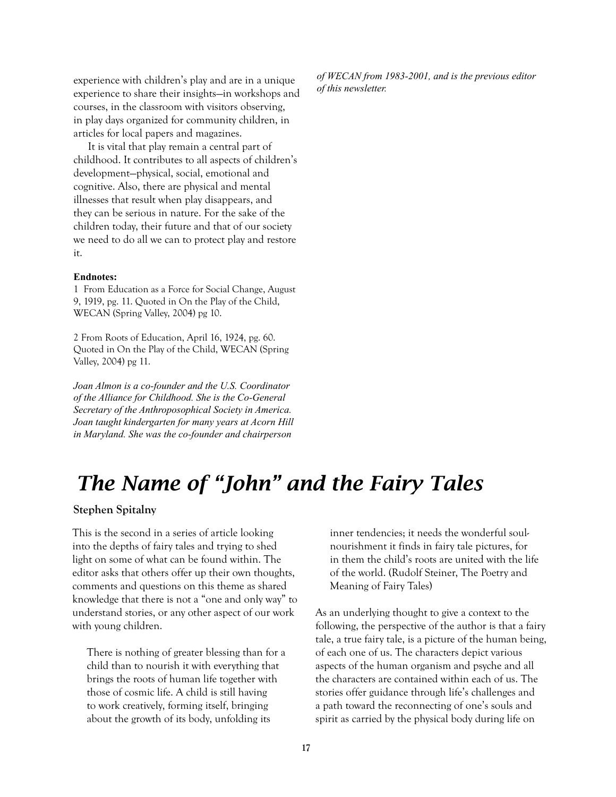experience with children's play and are in a unique experience to share their insights—in workshops and courses, in the classroom with visitors observing, in play days organized for community children, in articles for local papers and magazines.

It is vital that play remain a central part of childhood. It contributes to all aspects of children's development—physical, social, emotional and cognitive. Also, there are physical and mental illnesses that result when play disappears, and they can be serious in nature. For the sake of the children today, their future and that of our society we need to do all we can to protect play and restore it.

#### **Endnotes:**

1 From Education as a Force for Social Change, August 9, 1919, pg. 11. Quoted in On the Play of the Child, WECAN (Spring Valley, 2004) pg 10.

2 From Roots of Education, April 16, 1924, pg. 60. Quoted in On the Play of the Child, WECAN (Spring Valley, 2004) pg 11.

*Joan Almon is a co-founder and the U.S. Coordinator of the Alliance for Childhood. She is the Co-General Secretary of the Anthroposophical Society in America. Joan taught kindergarten for many years at Acorn Hill in Maryland. She was the co-founder and chairperson* 

*of WECAN from 1983-2001, and is the previous editor of this newsletter.*

# *The Name of "John" and the Fairy Tales*

**Stephen Spitalny**

This is the second in a series of article looking into the depths of fairy tales and trying to shed light on some of what can be found within. The editor asks that others offer up their own thoughts, comments and questions on this theme as shared knowledge that there is not a "one and only way" to understand stories, or any other aspect of our work with young children.

There is nothing of greater blessing than for a child than to nourish it with everything that brings the roots of human life together with those of cosmic life. A child is still having to work creatively, forming itself, bringing about the growth of its body, unfolding its

inner tendencies; it needs the wonderful soulnourishment it finds in fairy tale pictures, for in them the child's roots are united with the life of the world. (Rudolf Steiner, The Poetry and Meaning of Fairy Tales)

As an underlying thought to give a context to the following, the perspective of the author is that a fairy tale, a true fairy tale, is a picture of the human being, of each one of us. The characters depict various aspects of the human organism and psyche and all the characters are contained within each of us. The stories offer guidance through life's challenges and a path toward the reconnecting of one's souls and spirit as carried by the physical body during life on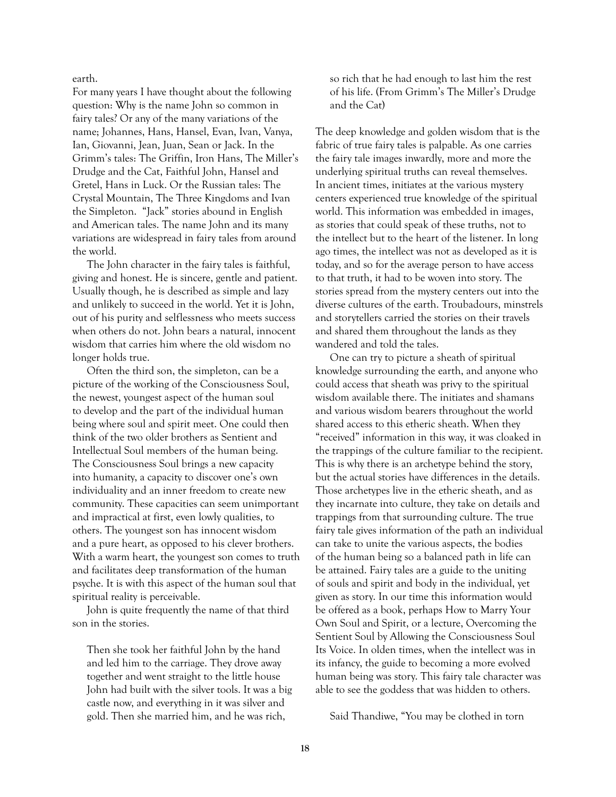earth.

For many years I have thought about the following question: Why is the name John so common in fairy tales? Or any of the many variations of the name; Johannes, Hans, Hansel, Evan, Ivan, Vanya, Ian, Giovanni, Jean, Juan, Sean or Jack. In the Grimm's tales: The Griffin, Iron Hans, The Miller's Drudge and the Cat, Faithful John, Hansel and Gretel, Hans in Luck. Or the Russian tales: The Crystal Mountain, The Three Kingdoms and Ivan the Simpleton. "Jack" stories abound in English and American tales. The name John and its many variations are widespread in fairy tales from around the world.

The John character in the fairy tales is faithful, giving and honest. He is sincere, gentle and patient. Usually though, he is described as simple and lazy and unlikely to succeed in the world. Yet it is John, out of his purity and selflessness who meets success when others do not. John bears a natural, innocent wisdom that carries him where the old wisdom no longer holds true.

Often the third son, the simpleton, can be a picture of the working of the Consciousness Soul, the newest, youngest aspect of the human soul to develop and the part of the individual human being where soul and spirit meet. One could then think of the two older brothers as Sentient and Intellectual Soul members of the human being. The Consciousness Soul brings a new capacity into humanity, a capacity to discover one's own individuality and an inner freedom to create new community. These capacities can seem unimportant and impractical at first, even lowly qualities, to others. The youngest son has innocent wisdom and a pure heart, as opposed to his clever brothers. With a warm heart, the youngest son comes to truth and facilitates deep transformation of the human psyche. It is with this aspect of the human soul that spiritual reality is perceivable.

John is quite frequently the name of that third son in the stories.

Then she took her faithful John by the hand and led him to the carriage. They drove away together and went straight to the little house John had built with the silver tools. It was a big castle now, and everything in it was silver and gold. Then she married him, and he was rich,

so rich that he had enough to last him the rest of his life. (From Grimm's The Miller's Drudge and the Cat)

The deep knowledge and golden wisdom that is the fabric of true fairy tales is palpable. As one carries the fairy tale images inwardly, more and more the underlying spiritual truths can reveal themselves. In ancient times, initiates at the various mystery centers experienced true knowledge of the spiritual world. This information was embedded in images, as stories that could speak of these truths, not to the intellect but to the heart of the listener. In long ago times, the intellect was not as developed as it is today, and so for the average person to have access to that truth, it had to be woven into story. The stories spread from the mystery centers out into the diverse cultures of the earth. Troubadours, minstrels and storytellers carried the stories on their travels and shared them throughout the lands as they wandered and told the tales.

One can try to picture a sheath of spiritual knowledge surrounding the earth, and anyone who could access that sheath was privy to the spiritual wisdom available there. The initiates and shamans and various wisdom bearers throughout the world shared access to this etheric sheath. When they "received" information in this way, it was cloaked in the trappings of the culture familiar to the recipient. This is why there is an archetype behind the story, but the actual stories have differences in the details. Those archetypes live in the etheric sheath, and as they incarnate into culture, they take on details and trappings from that surrounding culture. The true fairy tale gives information of the path an individual can take to unite the various aspects, the bodies of the human being so a balanced path in life can be attained. Fairy tales are a guide to the uniting of souls and spirit and body in the individual, yet given as story. In our time this information would be offered as a book, perhaps How to Marry Your Own Soul and Spirit, or a lecture, Overcoming the Sentient Soul by Allowing the Consciousness Soul Its Voice. In olden times, when the intellect was in its infancy, the guide to becoming a more evolved human being was story. This fairy tale character was able to see the goddess that was hidden to others.

Said Thandiwe, "You may be clothed in torn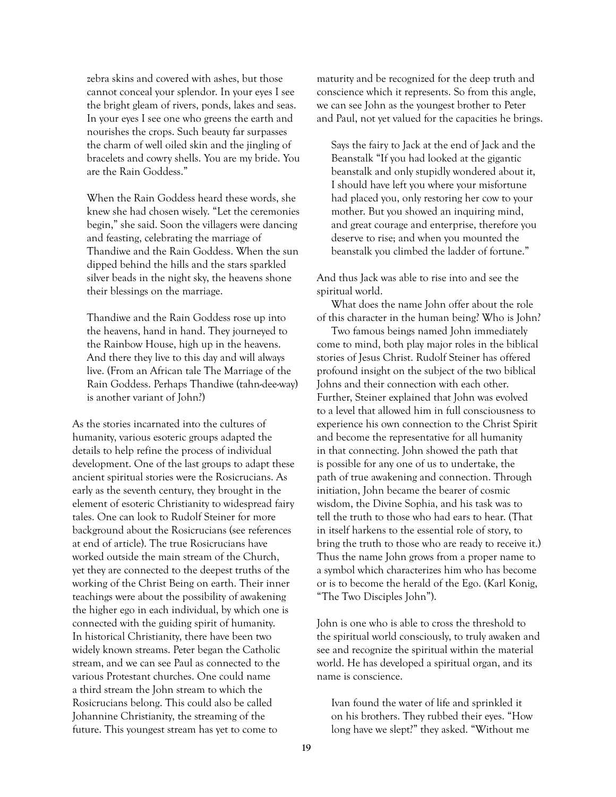zebra skins and covered with ashes, but those cannot conceal your splendor. In your eyes I see the bright gleam of rivers, ponds, lakes and seas. In your eyes I see one who greens the earth and nourishes the crops. Such beauty far surpasses the charm of well oiled skin and the jingling of bracelets and cowry shells. You are my bride. You are the Rain Goddess."

When the Rain Goddess heard these words, she knew she had chosen wisely. "Let the ceremonies begin," she said. Soon the villagers were dancing and feasting, celebrating the marriage of Thandiwe and the Rain Goddess. When the sun dipped behind the hills and the stars sparkled silver beads in the night sky, the heavens shone their blessings on the marriage.

Thandiwe and the Rain Goddess rose up into the heavens, hand in hand. They journeyed to the Rainbow House, high up in the heavens. And there they live to this day and will always live. (From an African tale The Marriage of the Rain Goddess. Perhaps Thandiwe (tahn-dee-way) is another variant of John?)

As the stories incarnated into the cultures of humanity, various esoteric groups adapted the details to help refine the process of individual development. One of the last groups to adapt these ancient spiritual stories were the Rosicrucians. As early as the seventh century, they brought in the element of esoteric Christianity to widespread fairy tales. One can look to Rudolf Steiner for more background about the Rosicrucians (see references at end of article). The true Rosicrucians have worked outside the main stream of the Church, yet they are connected to the deepest truths of the working of the Christ Being on earth. Their inner teachings were about the possibility of awakening the higher ego in each individual, by which one is connected with the guiding spirit of humanity. In historical Christianity, there have been two widely known streams. Peter began the Catholic stream, and we can see Paul as connected to the various Protestant churches. One could name a third stream the John stream to which the Rosicrucians belong. This could also be called Johannine Christianity, the streaming of the future. This youngest stream has yet to come to

maturity and be recognized for the deep truth and conscience which it represents. So from this angle, we can see John as the youngest brother to Peter and Paul, not yet valued for the capacities he brings.

Says the fairy to Jack at the end of Jack and the Beanstalk "If you had looked at the gigantic beanstalk and only stupidly wondered about it, I should have left you where your misfortune had placed you, only restoring her cow to your mother. But you showed an inquiring mind, and great courage and enterprise, therefore you deserve to rise; and when you mounted the beanstalk you climbed the ladder of fortune."

And thus Jack was able to rise into and see the spiritual world.

What does the name John offer about the role of this character in the human being? Who is John?

Two famous beings named John immediately come to mind, both play major roles in the biblical stories of Jesus Christ. Rudolf Steiner has offered profound insight on the subject of the two biblical Johns and their connection with each other. Further, Steiner explained that John was evolved to a level that allowed him in full consciousness to experience his own connection to the Christ Spirit and become the representative for all humanity in that connecting. John showed the path that is possible for any one of us to undertake, the path of true awakening and connection. Through initiation, John became the bearer of cosmic wisdom, the Divine Sophia, and his task was to tell the truth to those who had ears to hear. (That in itself harkens to the essential role of story, to bring the truth to those who are ready to receive it.) Thus the name John grows from a proper name to a symbol which characterizes him who has become or is to become the herald of the Ego. (Karl Konig, "The Two Disciples John").

John is one who is able to cross the threshold to the spiritual world consciously, to truly awaken and see and recognize the spiritual within the material world. He has developed a spiritual organ, and its name is conscience.

Ivan found the water of life and sprinkled it on his brothers. They rubbed their eyes. "How long have we slept?" they asked. "Without me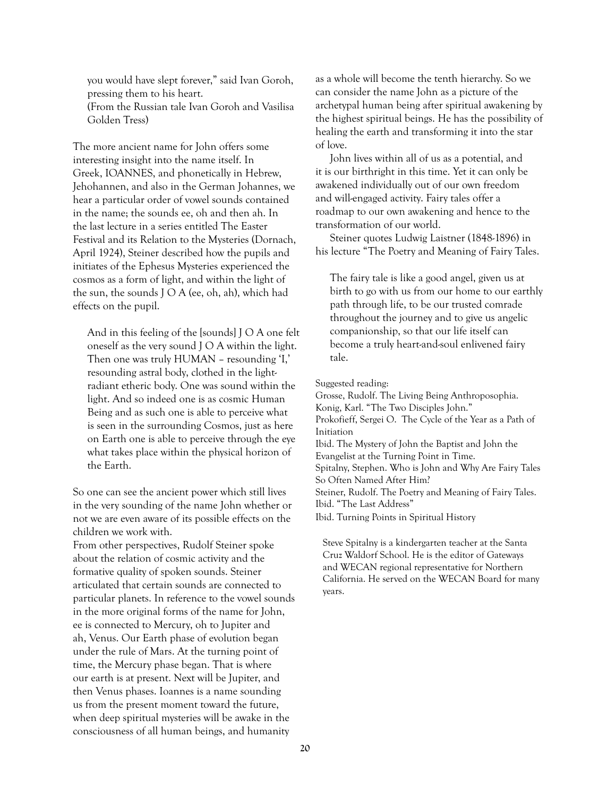you would have slept forever," said Ivan Goroh, pressing them to his heart. (From the Russian tale Ivan Goroh and Vasilisa Golden Tress)

The more ancient name for John offers some interesting insight into the name itself. In Greek, IOANNES, and phonetically in Hebrew, Jehohannen, and also in the German Johannes, we hear a particular order of vowel sounds contained in the name; the sounds ee, oh and then ah. In the last lecture in a series entitled The Easter Festival and its Relation to the Mysteries (Dornach, April 1924), Steiner described how the pupils and initiates of the Ephesus Mysteries experienced the cosmos as a form of light, and within the light of the sun, the sounds J O A (ee, oh, ah), which had effects on the pupil.

And in this feeling of the [sounds] J O A one felt oneself as the very sound J O A within the light. Then one was truly HUMAN – resounding 'I,' resounding astral body, clothed in the lightradiant etheric body. One was sound within the light. And so indeed one is as cosmic Human Being and as such one is able to perceive what is seen in the surrounding Cosmos, just as here on Earth one is able to perceive through the eye what takes place within the physical horizon of the Earth.

So one can see the ancient power which still lives in the very sounding of the name John whether or not we are even aware of its possible effects on the children we work with.

From other perspectives, Rudolf Steiner spoke about the relation of cosmic activity and the formative quality of spoken sounds. Steiner articulated that certain sounds are connected to particular planets. In reference to the vowel sounds in the more original forms of the name for John, ee is connected to Mercury, oh to Jupiter and ah, Venus. Our Earth phase of evolution began under the rule of Mars. At the turning point of time, the Mercury phase began. That is where our earth is at present. Next will be Jupiter, and then Venus phases. Ioannes is a name sounding us from the present moment toward the future, when deep spiritual mysteries will be awake in the consciousness of all human beings, and humanity

as a whole will become the tenth hierarchy. So we can consider the name John as a picture of the archetypal human being after spiritual awakening by the highest spiritual beings. He has the possibility of healing the earth and transforming it into the star of love.

John lives within all of us as a potential, and it is our birthright in this time. Yet it can only be awakened individually out of our own freedom and will-engaged activity. Fairy tales offer a roadmap to our own awakening and hence to the transformation of our world.

Steiner quotes Ludwig Laistner (1848-1896) in his lecture "The Poetry and Meaning of Fairy Tales.

The fairy tale is like a good angel, given us at birth to go with us from our home to our earthly path through life, to be our trusted comrade throughout the journey and to give us angelic companionship, so that our life itself can become a truly heart-and-soul enlivened fairy tale.

Suggested reading:

Grosse, Rudolf. The Living Being Anthroposophia. Konig, Karl. "The Two Disciples John." Prokofieff, Sergei O. The Cycle of the Year as a Path of Initiation Ibid. The Mystery of John the Baptist and John the Evangelist at the Turning Point in Time. Spitalny, Stephen. Who is John and Why Are Fairy Tales So Often Named After Him? Steiner, Rudolf. The Poetry and Meaning of Fairy Tales. Ibid. "The Last Address" Ibid. Turning Points in Spiritual History

Steve Spitalny is a kindergarten teacher at the Santa Cruz Waldorf School. He is the editor of Gateways and WECAN regional representative for Northern California. He served on the WECAN Board for many years.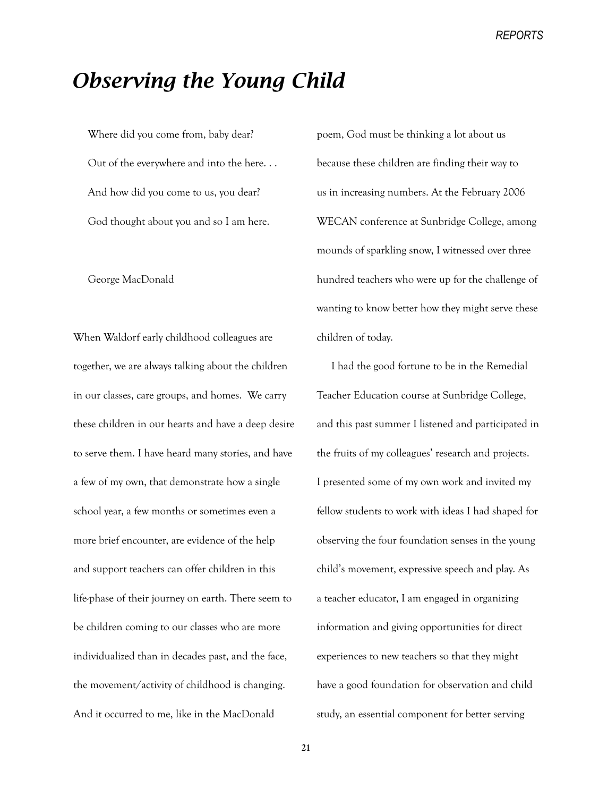*REPORTS*

## *Observing the Young Child*

Where did you come from, baby dear? Out of the everywhere and into the here. . . And how did you come to us, you dear? God thought about you and so I am here.

George MacDonald

When Waldorf early childhood colleagues are together, we are always talking about the children in our classes, care groups, and homes. We carry these children in our hearts and have a deep desire to serve them. I have heard many stories, and have a few of my own, that demonstrate how a single school year, a few months or sometimes even a more brief encounter, are evidence of the help and support teachers can offer children in this life-phase of their journey on earth. There seem to be children coming to our classes who are more individualized than in decades past, and the face, the movement/activity of childhood is changing. And it occurred to me, like in the MacDonald

poem, God must be thinking a lot about us because these children are finding their way to us in increasing numbers. At the February 2006 WECAN conference at Sunbridge College, among mounds of sparkling snow, I witnessed over three hundred teachers who were up for the challenge of wanting to know better how they might serve these children of today.

I had the good fortune to be in the Remedial Teacher Education course at Sunbridge College, and this past summer I listened and participated in the fruits of my colleagues' research and projects. I presented some of my own work and invited my fellow students to work with ideas I had shaped for observing the four foundation senses in the young child's movement, expressive speech and play. As a teacher educator, I am engaged in organizing information and giving opportunities for direct experiences to new teachers so that they might have a good foundation for observation and child study, an essential component for better serving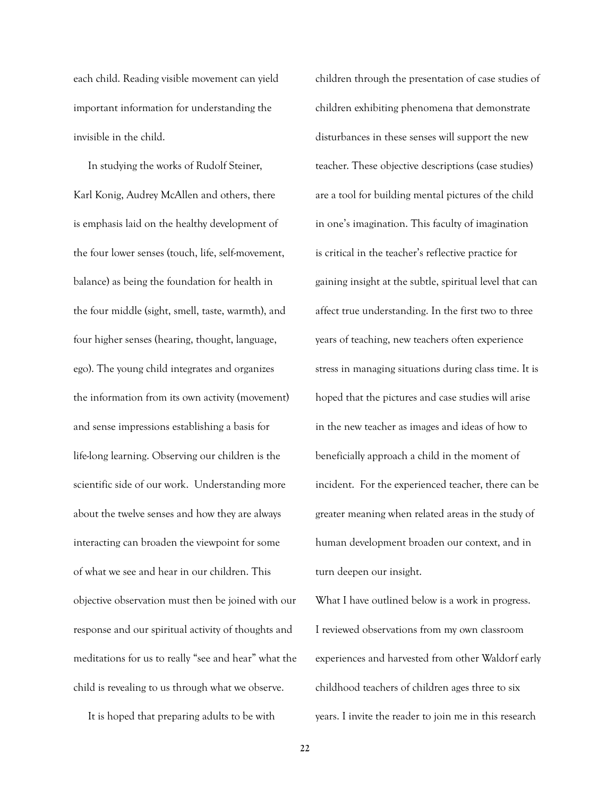each child. Reading visible movement can yield important information for understanding the invisible in the child.

In studying the works of Rudolf Steiner, Karl Konig, Audrey McAllen and others, there is emphasis laid on the healthy development of the four lower senses (touch, life, self-movement, balance) as being the foundation for health in the four middle (sight, smell, taste, warmth), and four higher senses (hearing, thought, language, ego). The young child integrates and organizes the information from its own activity (movement) and sense impressions establishing a basis for life-long learning. Observing our children is the scientific side of our work. Understanding more about the twelve senses and how they are always interacting can broaden the viewpoint for some of what we see and hear in our children. This objective observation must then be joined with our response and our spiritual activity of thoughts and meditations for us to really "see and hear" what the child is revealing to us through what we observe.

It is hoped that preparing adults to be with

children through the presentation of case studies of children exhibiting phenomena that demonstrate disturbances in these senses will support the new teacher. These objective descriptions (case studies) are a tool for building mental pictures of the child in one's imagination. This faculty of imagination is critical in the teacher's reflective practice for gaining insight at the subtle, spiritual level that can affect true understanding. In the first two to three years of teaching, new teachers often experience stress in managing situations during class time. It is hoped that the pictures and case studies will arise in the new teacher as images and ideas of how to beneficially approach a child in the moment of incident. For the experienced teacher, there can be greater meaning when related areas in the study of human development broaden our context, and in turn deepen our insight.

What I have outlined below is a work in progress. I reviewed observations from my own classroom experiences and harvested from other Waldorf early childhood teachers of children ages three to six years. I invite the reader to join me in this research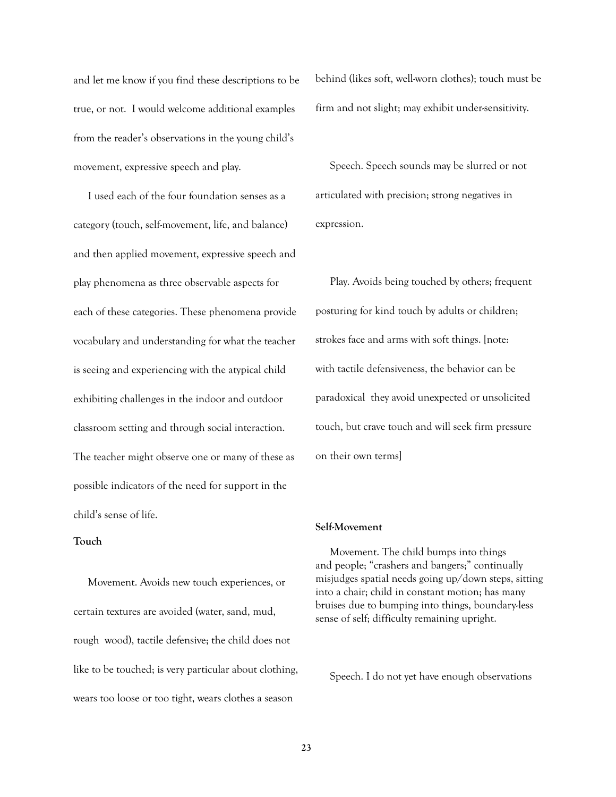and let me know if you find these descriptions to be true, or not. I would welcome additional examples from the reader's observations in the young child's movement, expressive speech and play.

I used each of the four foundation senses as a category (touch, self-movement, life, and balance) and then applied movement, expressive speech and play phenomena as three observable aspects for each of these categories. These phenomena provide vocabulary and understanding for what the teacher is seeing and experiencing with the atypical child exhibiting challenges in the indoor and outdoor classroom setting and through social interaction. The teacher might observe one or many of these as possible indicators of the need for support in the child's sense of life.

#### **Touch**

Movement. Avoids new touch experiences, or certain textures are avoided (water, sand, mud, rough wood), tactile defensive; the child does not like to be touched; is very particular about clothing, wears too loose or too tight, wears clothes a season

behind (likes soft, well-worn clothes); touch must be firm and not slight; may exhibit under-sensitivity.

Speech. Speech sounds may be slurred or not articulated with precision; strong negatives in expression.

Play. Avoids being touched by others; frequent posturing for kind touch by adults or children; strokes face and arms with soft things. [note: with tactile defensiveness, the behavior can be paradoxical they avoid unexpected or unsolicited touch, but crave touch and will seek firm pressure on their own terms]

#### **Self-Movement**

Movement. The child bumps into things and people; "crashers and bangers;" continually misjudges spatial needs going up/down steps, sitting into a chair; child in constant motion; has many bruises due to bumping into things, boundary-less sense of self; difficulty remaining upright.

Speech. I do not yet have enough observations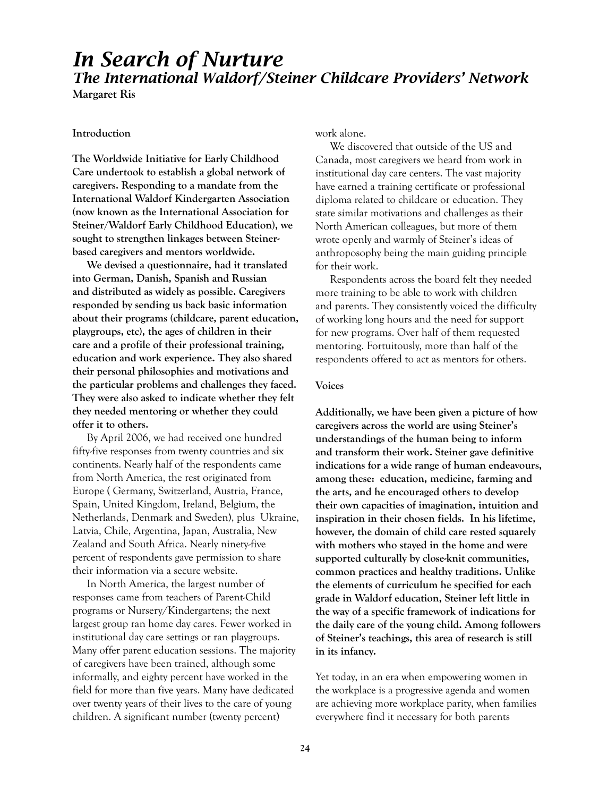# *In Search of Nurture The International Waldorf/Steiner Childcare Providers' Network*

**Margaret Ris**

#### **Introduction**

**The Worldwide Initiative for Early Childhood Care undertook to establish a global network of caregivers. Responding to a mandate from the International Waldorf Kindergarten Association (now known as the International Association for Steiner/Waldorf Early Childhood Education), we sought to strengthen linkages between Steinerbased caregivers and mentors worldwide.**

**We devised a questionnaire, had it translated into German, Danish, Spanish and Russian and distributed as widely as possible. Caregivers responded by sending us back basic information about their programs (childcare, parent education, playgroups, etc), the ages of children in their care and a profile of their professional training, education and work experience. They also shared their personal philosophies and motivations and the particular problems and challenges they faced. They were also asked to indicate whether they felt they needed mentoring or whether they could offer it to others.** 

By April 2006, we had received one hundred fifty-five responses from twenty countries and six continents. Nearly half of the respondents came from North America, the rest originated from Europe ( Germany, Switzerland, Austria, France, Spain, United Kingdom, Ireland, Belgium, the Netherlands, Denmark and Sweden), plus Ukraine, Latvia, Chile, Argentina, Japan, Australia, New Zealand and South Africa. Nearly ninety-five percent of respondents gave permission to share their information via a secure website.

In North America, the largest number of responses came from teachers of Parent-Child programs or Nursery/Kindergartens; the next largest group ran home day cares. Fewer worked in institutional day care settings or ran playgroups. Many offer parent education sessions. The majority of caregivers have been trained, although some informally, and eighty percent have worked in the field for more than five years. Many have dedicated over twenty years of their lives to the care of young children. A significant number (twenty percent)

work alone.

We discovered that outside of the US and Canada, most caregivers we heard from work in institutional day care centers. The vast majority have earned a training certificate or professional diploma related to childcare or education. They state similar motivations and challenges as their North American colleagues, but more of them wrote openly and warmly of Steiner's ideas of anthroposophy being the main guiding principle for their work.

Respondents across the board felt they needed more training to be able to work with children and parents. They consistently voiced the difficulty of working long hours and the need for support for new programs. Over half of them requested mentoring. Fortuitously, more than half of the respondents offered to act as mentors for others.

#### **Voices**

**Additionally, we have been given a picture of how caregivers across the world are using Steiner's understandings of the human being to inform and transform their work. Steiner gave definitive indications for a wide range of human endeavours, among these: education, medicine, farming and the arts, and he encouraged others to develop their own capacities of imagination, intuition and inspiration in their chosen fields. In his lifetime, however, the domain of child care rested squarely with mothers who stayed in the home and were supported culturally by close-knit communities, common practices and healthy traditions. Unlike the elements of curriculum he specified for each grade in Waldorf education, Steiner left little in the way of a specific framework of indications for the daily care of the young child. Among followers of Steiner's teachings, this area of research is still in its infancy.**

Yet today, in an era when empowering women in the workplace is a progressive agenda and women are achieving more workplace parity, when families everywhere find it necessary for both parents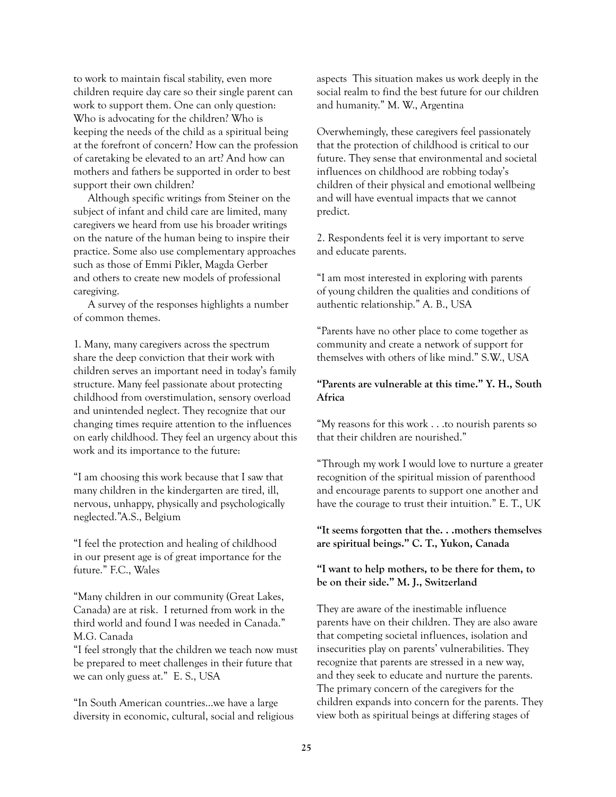to work to maintain fiscal stability, even more children require day care so their single parent can work to support them. One can only question: Who is advocating for the children? Who is keeping the needs of the child as a spiritual being at the forefront of concern? How can the profession of caretaking be elevated to an art? And how can mothers and fathers be supported in order to best support their own children?

Although specific writings from Steiner on the subject of infant and child care are limited, many caregivers we heard from use his broader writings on the nature of the human being to inspire their practice. Some also use complementary approaches such as those of Emmi Pikler, Magda Gerber and others to create new models of professional caregiving.

A survey of the responses highlights a number of common themes.

1. Many, many caregivers across the spectrum share the deep conviction that their work with children serves an important need in today's family structure. Many feel passionate about protecting childhood from overstimulation, sensory overload and unintended neglect. They recognize that our changing times require attention to the influences on early childhood. They feel an urgency about this work and its importance to the future:

"I am choosing this work because that I saw that many children in the kindergarten are tired, ill, nervous, unhappy, physically and psychologically neglected."A.S., Belgium

"I feel the protection and healing of childhood in our present age is of great importance for the future." F.C., Wales

"Many children in our community (Great Lakes, Canada) are at risk. I returned from work in the third world and found I was needed in Canada." M.G. Canada

"I feel strongly that the children we teach now must be prepared to meet challenges in their future that we can only guess at." E. S., USA

"In South American countries…we have a large diversity in economic, cultural, social and religious aspects This situation makes us work deeply in the social realm to find the best future for our children and humanity." M. W., Argentina

Overwhemingly, these caregivers feel passionately that the protection of childhood is critical to our future. They sense that environmental and societal influences on childhood are robbing today's children of their physical and emotional wellbeing and will have eventual impacts that we cannot predict.

2. Respondents feel it is very important to serve and educate parents.

"I am most interested in exploring with parents of young children the qualities and conditions of authentic relationship." A. B., USA

"Parents have no other place to come together as community and create a network of support for themselves with others of like mind." S.W., USA

#### **"Parents are vulnerable at this time." Y. H., South Africa**

"My reasons for this work . . .to nourish parents so that their children are nourished."

"Through my work I would love to nurture a greater recognition of the spiritual mission of parenthood and encourage parents to support one another and have the courage to trust their intuition." E. T., UK

**"It seems forgotten that the. . .mothers themselves are spiritual beings." C. T., Yukon, Canada**

**"I want to help mothers, to be there for them, to be on their side." M. J., Switzerland**

They are aware of the inestimable influence parents have on their children. They are also aware that competing societal influences, isolation and insecurities play on parents' vulnerabilities. They recognize that parents are stressed in a new way, and they seek to educate and nurture the parents. The primary concern of the caregivers for the children expands into concern for the parents. They view both as spiritual beings at differing stages of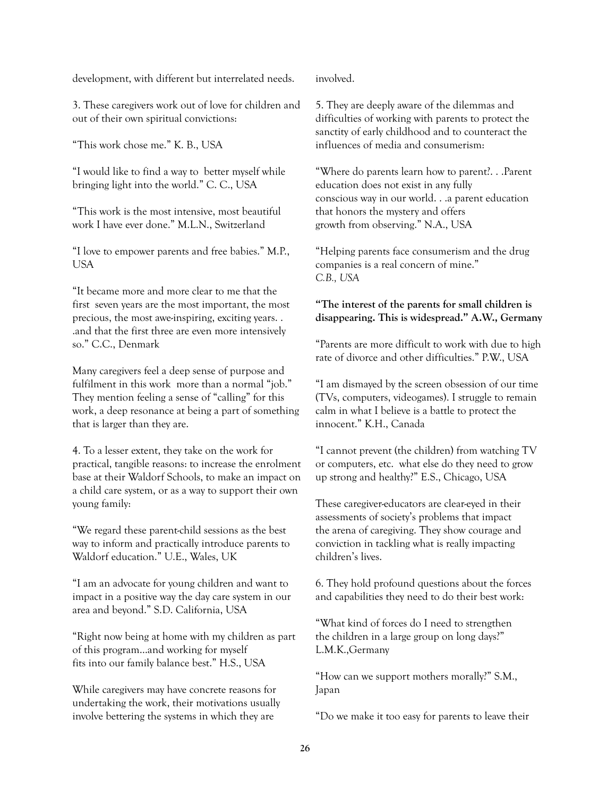development, with different but interrelated needs.

3. These caregivers work out of love for children and out of their own spiritual convictions:

"This work chose me." K. B., USA

"I would like to find a way to better myself while bringing light into the world." C. C., USA

"This work is the most intensive, most beautiful work I have ever done." M.L.N., Switzerland

"I love to empower parents and free babies." M.P., USA

"It became more and more clear to me that the first seven years are the most important, the most precious, the most awe-inspiring, exciting years. . .and that the first three are even more intensively so." C.C., Denmark

Many caregivers feel a deep sense of purpose and fulfilment in this work more than a normal "job." They mention feeling a sense of "calling" for this work, a deep resonance at being a part of something that is larger than they are.

4. To a lesser extent, they take on the work for practical, tangible reasons: to increase the enrolment base at their Waldorf Schools, to make an impact on a child care system, or as a way to support their own young family:

"We regard these parent-child sessions as the best way to inform and practically introduce parents to Waldorf education." U.E., Wales, UK

"I am an advocate for young children and want to impact in a positive way the day care system in our area and beyond." S.D. California, USA

"Right now being at home with my children as part of this program…and working for myself fits into our family balance best." H.S., USA

While caregivers may have concrete reasons for undertaking the work, their motivations usually involve bettering the systems in which they are

involved.

5. They are deeply aware of the dilemmas and difficulties of working with parents to protect the sanctity of early childhood and to counteract the influences of media and consumerism:

"Where do parents learn how to parent?. . .Parent education does not exist in any fully conscious way in our world. . .a parent education that honors the mystery and offers growth from observing." N.A., USA

"Helping parents face consumerism and the drug companies is a real concern of mine." *C.B., USA*

#### **"The interest of the parents for small children is disappearing. This is widespread." A.W., Germany**

"Parents are more difficult to work with due to high rate of divorce and other difficulties." P.W., USA

"I am dismayed by the screen obsession of our time (TVs, computers, videogames). I struggle to remain calm in what I believe is a battle to protect the innocent." K.H., Canada

"I cannot prevent (the children) from watching TV or computers, etc. what else do they need to grow up strong and healthy?" E.S., Chicago, USA

These caregiver-educators are clear-eyed in their assessments of society's problems that impact the arena of caregiving. They show courage and conviction in tackling what is really impacting children's lives.

6. They hold profound questions about the forces and capabilities they need to do their best work:

"What kind of forces do I need to strengthen the children in a large group on long days?" L.M.K.,Germany

"How can we support mothers morally?" S.M., Japan

"Do we make it too easy for parents to leave their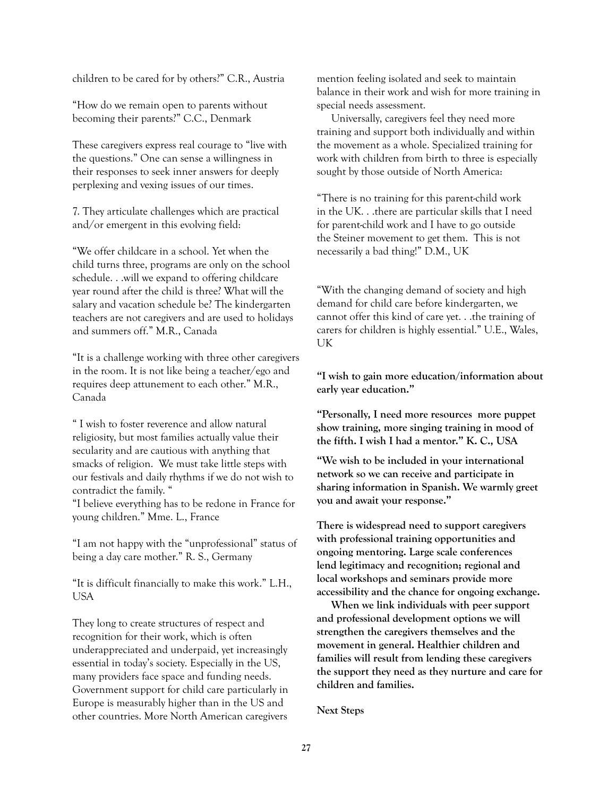children to be cared for by others?" C.R., Austria

"How do we remain open to parents without becoming their parents?" C.C., Denmark

These caregivers express real courage to "live with the questions." One can sense a willingness in their responses to seek inner answers for deeply perplexing and vexing issues of our times.

7. They articulate challenges which are practical and/or emergent in this evolving field:

"We offer childcare in a school. Yet when the child turns three, programs are only on the school schedule. . .will we expand to offering childcare year round after the child is three? What will the salary and vacation schedule be? The kindergarten teachers are not caregivers and are used to holidays and summers off." M.R., Canada

"It is a challenge working with three other caregivers in the room. It is not like being a teacher/ego and requires deep attunement to each other." M.R., Canada

" I wish to foster reverence and allow natural religiosity, but most families actually value their secularity and are cautious with anything that smacks of religion. We must take little steps with our festivals and daily rhythms if we do not wish to contradict the family. "

"I believe everything has to be redone in France for young children." Mme. L., France

"I am not happy with the "unprofessional" status of being a day care mother." R. S., Germany

"It is difficult financially to make this work." L.H., USA

They long to create structures of respect and recognition for their work, which is often underappreciated and underpaid, yet increasingly essential in today's society. Especially in the US, many providers face space and funding needs. Government support for child care particularly in Europe is measurably higher than in the US and other countries. More North American caregivers

mention feeling isolated and seek to maintain balance in their work and wish for more training in special needs assessment.

Universally, caregivers feel they need more training and support both individually and within the movement as a whole. Specialized training for work with children from birth to three is especially sought by those outside of North America:

"There is no training for this parent-child work in the UK. . .there are particular skills that I need for parent-child work and I have to go outside the Steiner movement to get them. This is not necessarily a bad thing!" D.M., UK

"With the changing demand of society and high demand for child care before kindergarten, we cannot offer this kind of care yet. . .the training of carers for children is highly essential." U.E., Wales, UK

**"I wish to gain more education/information about early year education."** 

**"Personally, I need more resources more puppet show training, more singing training in mood of the fifth. I wish I had a mentor." K. C., USA**

**"We wish to be included in your international network so we can receive and participate in sharing information in Spanish. We warmly greet you and await your response."** 

**There is widespread need to support caregivers with professional training opportunities and ongoing mentoring. Large scale conferences lend legitimacy and recognition; regional and local workshops and seminars provide more accessibility and the chance for ongoing exchange.**

**When we link individuals with peer support and professional development options we will strengthen the caregivers themselves and the movement in general. Healthier children and families will result from lending these caregivers the support they need as they nurture and care for children and families.**

**Next Steps**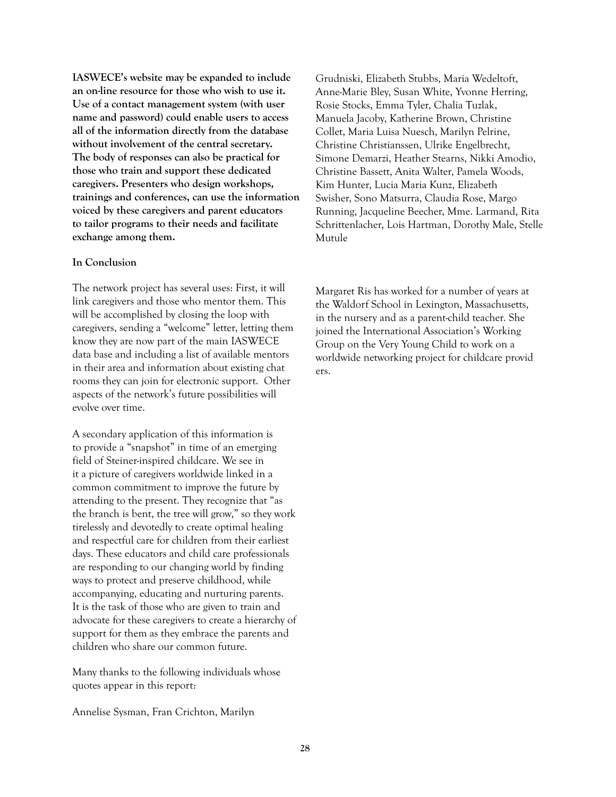**IASWECE's website may be expanded to include an on-line resource for those who wish to use it. Use of a contact management system (with user name and password) could enable users to access all of the information directly from the database without involvement of the central secretary. The body of responses can also be practical for those who train and support these dedicated caregivers. Presenters who design workshops, trainings and conferences, can use the information voiced by these caregivers and parent educators to tailor programs to their needs and facilitate exchange among them.**

#### **In Conclusion**

The network project has several uses: First, it will link caregivers and those who mentor them. This will be accomplished by closing the loop with caregivers, sending a "welcome" letter, letting them know they are now part of the main IASWECE data base and including a list of available mentors in their area and information about existing chat rooms they can join for electronic support. Other aspects of the network's future possibilities will evolve over time.

A secondary application of this information is to provide a "snapshot" in time of an emerging field of Steiner-inspired childcare. We see in it a picture of caregivers worldwide linked in a common commitment to improve the future by attending to the present. They recognize that "as the branch is bent, the tree will grow," so they work tirelessly and devotedly to create optimal healing and respectful care for children from their earliest days. These educators and child care professionals are responding to our changing world by finding ways to protect and preserve childhood, while accompanying, educating and nurturing parents. It is the task of those who are given to train and advocate for these caregivers to create a hierarchy of support for them as they embrace the parents and children who share our common future.

Many thanks to the following individuals whose quotes appear in this report:

Annelise Sysman, Fran Crichton, Marilyn

Grudniski, Elizabeth Stubbs, Maria Wedeltoft, Anne-Marie Bley, Susan White, Yvonne Herring, Rosie Stocks, Emma Tyler, Chalia Tuzlak, Manuela Jacoby, Katherine Brown, Christine Collet, Maria Luisa Nuesch, Marilyn Pelrine, Christine Christianssen, Ulrike Engelbrecht, Simone Demarzi, Heather Stearns, Nikki Amodio, Christine Bassett, Anita Walter, Pamela Woods, Kim Hunter, Lucia Maria Kunz, Elizabeth Swisher, Sono Matsurra, Claudia Rose, Margo Running, Jacqueline Beecher, Mme. Larmand, Rita Schrittenlacher, Lois Hartman, Dorothy Male, Stelle Mutule

Margaret Ris has worked for a number of years at the Waldorf School in Lexington, Massachusetts, in the nursery and as a parent-child teacher. She joined the International Association's Working Group on the Very Young Child to work on a worldwide networking project for childcare provid ers.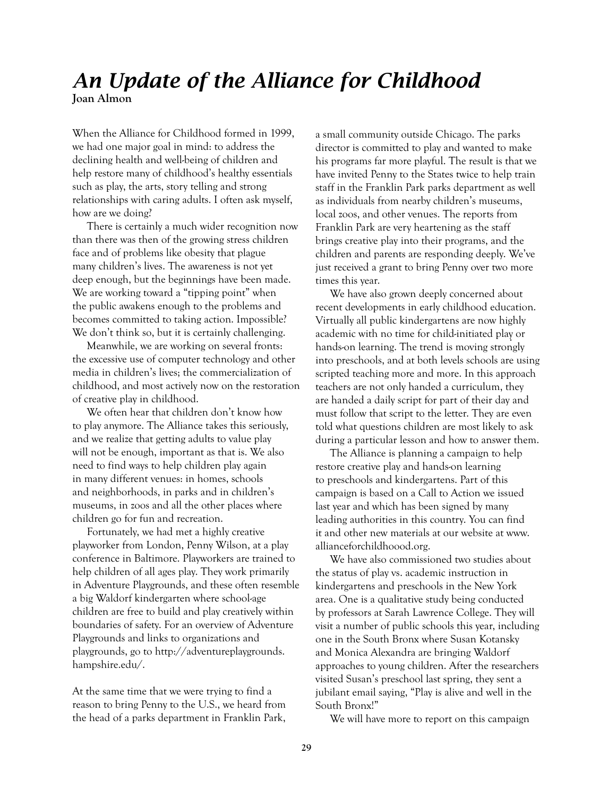### *An Update of the Alliance for Childhood*  **Joan Almon**

When the Alliance for Childhood formed in 1999, we had one major goal in mind: to address the declining health and well-being of children and help restore many of childhood's healthy essentials such as play, the arts, story telling and strong relationships with caring adults. I often ask myself, how are we doing?

There is certainly a much wider recognition now than there was then of the growing stress children face and of problems like obesity that plague many children's lives. The awareness is not yet deep enough, but the beginnings have been made. We are working toward a "tipping point" when the public awakens enough to the problems and becomes committed to taking action. Impossible? We don't think so, but it is certainly challenging.

Meanwhile, we are working on several fronts: the excessive use of computer technology and other media in children's lives; the commercialization of childhood, and most actively now on the restoration of creative play in childhood.

We often hear that children don't know how to play anymore. The Alliance takes this seriously, and we realize that getting adults to value play will not be enough, important as that is. We also need to find ways to help children play again in many different venues: in homes, schools and neighborhoods, in parks and in children's museums, in zoos and all the other places where children go for fun and recreation.

Fortunately, we had met a highly creative playworker from London, Penny Wilson, at a play conference in Baltimore. Playworkers are trained to help children of all ages play. They work primarily in Adventure Playgrounds, and these often resemble a big Waldorf kindergarten where school-age children are free to build and play creatively within boundaries of safety. For an overview of Adventure Playgrounds and links to organizations and playgrounds, go to http://adventureplaygrounds. hampshire.edu/.

At the same time that we were trying to find a reason to bring Penny to the U.S., we heard from the head of a parks department in Franklin Park,

a small community outside Chicago. The parks director is committed to play and wanted to make his programs far more playful. The result is that we have invited Penny to the States twice to help train staff in the Franklin Park parks department as well as individuals from nearby children's museums, local zoos, and other venues. The reports from Franklin Park are very heartening as the staff brings creative play into their programs, and the children and parents are responding deeply. We've just received a grant to bring Penny over two more times this year.

We have also grown deeply concerned about recent developments in early childhood education. Virtually all public kindergartens are now highly academic with no time for child-initiated play or hands-on learning. The trend is moving strongly into preschools, and at both levels schools are using scripted teaching more and more. In this approach teachers are not only handed a curriculum, they are handed a daily script for part of their day and must follow that script to the letter. They are even told what questions children are most likely to ask during a particular lesson and how to answer them.

The Alliance is planning a campaign to help restore creative play and hands-on learning to preschools and kindergartens. Part of this campaign is based on a Call to Action we issued last year and which has been signed by many leading authorities in this country. You can find it and other new materials at our website at www. allianceforchildhoood.org.

We have also commissioned two studies about the status of play vs. academic instruction in kindergartens and preschools in the New York area. One is a qualitative study being conducted by professors at Sarah Lawrence College. They will visit a number of public schools this year, including one in the South Bronx where Susan Kotansky and Monica Alexandra are bringing Waldorf approaches to young children. After the researchers visited Susan's preschool last spring, they sent a jubilant email saying, "Play is alive and well in the South Bronx!"

We will have more to report on this campaign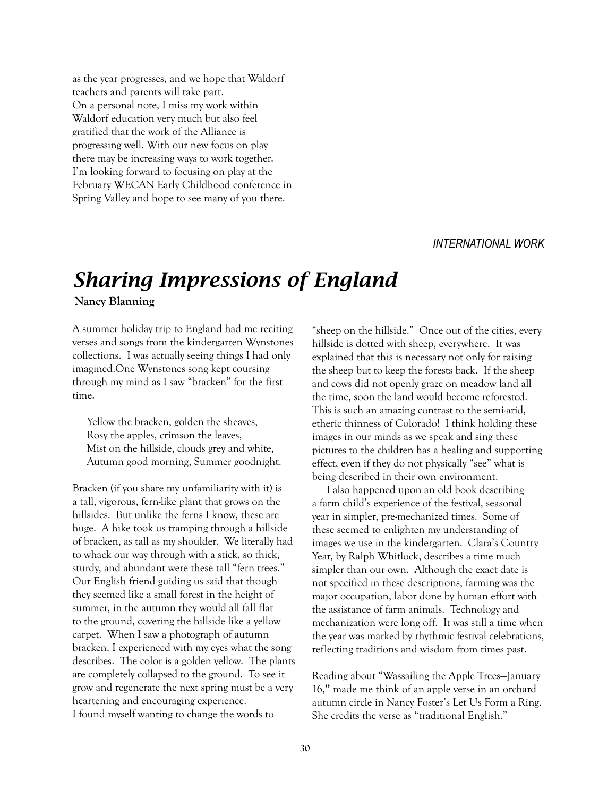as the year progresses, and we hope that Waldorf teachers and parents will take part. On a personal note, I miss my work within Waldorf education very much but also feel gratified that the work of the Alliance is progressing well. With our new focus on play there may be increasing ways to work together. I'm looking forward to focusing on play at the February WECAN Early Childhood conference in Spring Valley and hope to see many of you there.

#### *INTERNATIONAL WORK*

# *Sharing Impressions of England*

**Nancy Blanning**

A summer holiday trip to England had me reciting verses and songs from the kindergarten Wynstones collections. I was actually seeing things I had only imagined.One Wynstones song kept coursing through my mind as I saw "bracken" for the first time.

Yellow the bracken, golden the sheaves, Rosy the apples, crimson the leaves, Mist on the hillside, clouds grey and white, Autumn good morning, Summer goodnight.

Bracken (if you share my unfamiliarity with it) is a tall, vigorous, fern-like plant that grows on the hillsides. But unlike the ferns I know, these are huge. A hike took us tramping through a hillside of bracken, as tall as my shoulder. We literally had to whack our way through with a stick, so thick, sturdy, and abundant were these tall "fern trees." Our English friend guiding us said that though they seemed like a small forest in the height of summer, in the autumn they would all fall flat to the ground, covering the hillside like a yellow carpet. When I saw a photograph of autumn bracken, I experienced with my eyes what the song describes. The color is a golden yellow. The plants are completely collapsed to the ground. To see it grow and regenerate the next spring must be a very heartening and encouraging experience. I found myself wanting to change the words to

"sheep on the hillside." Once out of the cities, every hillside is dotted with sheep, everywhere. It was explained that this is necessary not only for raising the sheep but to keep the forests back. If the sheep and cows did not openly graze on meadow land all the time, soon the land would become reforested. This is such an amazing contrast to the semi-arid, etheric thinness of Colorado! I think holding these images in our minds as we speak and sing these pictures to the children has a healing and supporting effect, even if they do not physically "see" what is being described in their own environment.

I also happened upon an old book describing a farm child's experience of the festival, seasonal year in simpler, pre-mechanized times. Some of these seemed to enlighten my understanding of images we use in the kindergarten. Clara's Country Year, by Ralph Whitlock, describes a time much simpler than our own. Although the exact date is not specified in these descriptions, farming was the major occupation, labor done by human effort with the assistance of farm animals. Technology and mechanization were long off. It was still a time when the year was marked by rhythmic festival celebrations, reflecting traditions and wisdom from times past.

Reading about "Wassailing the Apple Trees—January 16,**"** made me think of an apple verse in an orchard autumn circle in Nancy Foster's Let Us Form a Ring. She credits the verse as "traditional English."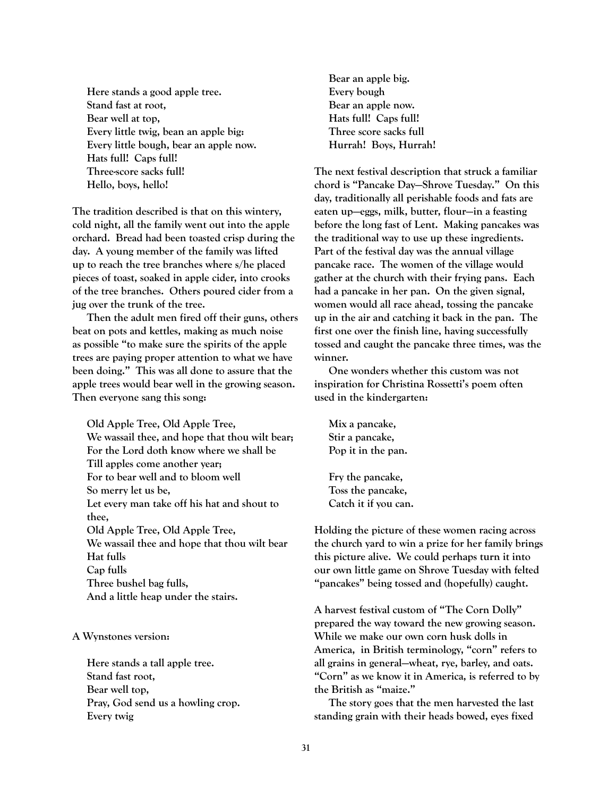**Here stands a good apple tree. Stand fast at root, Bear well at top, Every little twig, bean an apple big: Every little bough, bear an apple now. Hats full! Caps full! Three-score sacks full! Hello, boys, hello!**

**The tradition described is that on this wintery, cold night, all the family went out into the apple orchard. Bread had been toasted crisp during the day. A young member of the family was lifted up to reach the tree branches where s/he placed pieces of toast, soaked in apple cider, into crooks of the tree branches. Others poured cider from a jug over the trunk of the tree.** 

**Then the adult men fired off their guns, others beat on pots and kettles, making as much noise as possible "to make sure the spirits of the apple trees are paying proper attention to what we have been doing." This was all done to assure that the apple trees would bear well in the growing season. Then everyone sang this song:**

**Old Apple Tree, Old Apple Tree, We wassail thee, and hope that thou wilt bear; For the Lord doth know where we shall be Till apples come another year; For to bear well and to bloom well So merry let us be, Let every man take off his hat and shout to thee, Old Apple Tree, Old Apple Tree, We wassail thee and hope that thou wilt bear Hat fulls Cap fulls Three bushel bag fulls, And a little heap under the stairs.**

**A Wynstones version:**

**Here stands a tall apple tree. Stand fast root, Bear well top, Pray, God send us a howling crop. Every twig**

**Bear an apple big. Every bough Bear an apple now. Hats full! Caps full! Three score sacks full Hurrah! Boys, Hurrah!**

**The next festival description that struck a familiar chord is "Pancake Day—Shrove Tuesday." On this day, traditionally all perishable foods and fats are eaten up—eggs, milk, butter, flour—in a feasting before the long fast of Lent. Making pancakes was the traditional way to use up these ingredients. Part of the festival day was the annual village pancake race. The women of the village would gather at the church with their frying pans. Each had a pancake in her pan. On the given signal, women would all race ahead, tossing the pancake up in the air and catching it back in the pan. The first one over the finish line, having successfully tossed and caught the pancake three times, was the winner.**

**One wonders whether this custom was not inspiration for Christina Rossetti's poem often used in the kindergarten:**

**Mix a pancake, Stir a pancake, Pop it in the pan.**

**Fry the pancake, Toss the pancake, Catch it if you can.**

**Holding the picture of these women racing across the church yard to win a prize for her family brings this picture alive. We could perhaps turn it into our own little game on Shrove Tuesday with felted "pancakes" being tossed and (hopefully) caught.**

**A harvest festival custom of "The Corn Dolly" prepared the way toward the new growing season. While we make our own corn husk dolls in America, in British terminology, "corn" refers to all grains in general—wheat, rye, barley, and oats. "Corn" as we know it in America, is referred to by the British as "maize."**

**The story goes that the men harvested the last standing grain with their heads bowed, eyes fixed**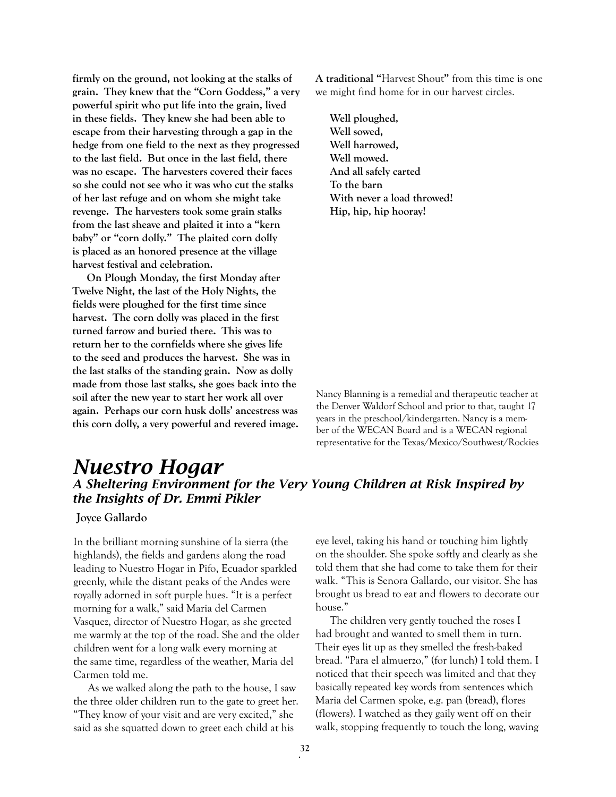**firmly on the ground, not looking at the stalks of grain. They knew that the "Corn Goddess," a very powerful spirit who put life into the grain, lived in these fields. They knew she had been able to escape from their harvesting through a gap in the hedge from one field to the next as they progressed to the last field. But once in the last field, there was no escape. The harvesters covered their faces so she could not see who it was who cut the stalks of her last refuge and on whom she might take revenge. The harvesters took some grain stalks from the last sheave and plaited it into a "kern baby" or "corn dolly." The plaited corn dolly is placed as an honored presence at the village harvest festival and celebration.**

**On Plough Monday, the first Monday after Twelve Night, the last of the Holy Nights, the fields were ploughed for the first time since harvest. The corn dolly was placed in the first turned farrow and buried there. This was to return her to the cornfields where she gives life to the seed and produces the harvest. She was in the last stalks of the standing grain. Now as dolly made from those last stalks, she goes back into the soil after the new year to start her work all over again. Perhaps our corn husk dolls' ancestress was this corn dolly, a very powerful and revered image.**

**A traditional "**Harvest Shout**"** from this time is one we might find home for in our harvest circles.

**Well ploughed, Well sowed, Well harrowed, Well mowed. And all safely carted To the barn With never a load throwed! Hip, hip, hip hooray!**

Nancy Blanning is a remedial and therapeutic teacher at the Denver Waldorf School and prior to that, taught 17 years in the preschool/kindergarten. Nancy is a member of the WECAN Board and is a WECAN regional representative for the Texas/Mexico/Southwest/Rockies

### *Nuestro Hogar A Sheltering Environment for the Very Young Children at Risk Inspired by the Insights of Dr. Emmi Pikler*

 **Joyce Gallardo** 

In the brilliant morning sunshine of la sierra (the highlands), the fields and gardens along the road leading to Nuestro Hogar in Pifo, Ecuador sparkled greenly, while the distant peaks of the Andes were royally adorned in soft purple hues. "It is a perfect morning for a walk," said Maria del Carmen Vasquez, director of Nuestro Hogar, as she greeted me warmly at the top of the road. She and the older children went for a long walk every morning at the same time, regardless of the weather, Maria del Carmen told me.

As we walked along the path to the house, I saw the three older children run to the gate to greet her. "They know of your visit and are very excited," she said as she squatted down to greet each child at his

eye level, taking his hand or touching him lightly on the shoulder. She spoke softly and clearly as she told them that she had come to take them for their walk. "This is Senora Gallardo, our visitor. She has brought us bread to eat and flowers to decorate our house."

The children very gently touched the roses I had brought and wanted to smell them in turn. Their eyes lit up as they smelled the fresh-baked bread. "Para el almuerzo," (for lunch) I told them. I noticed that their speech was limited and that they basically repeated key words from sentences which Maria del Carmen spoke, e.g. pan (bread), flores (flowers). I watched as they gaily went off on their walk, stopping frequently to touch the long, waving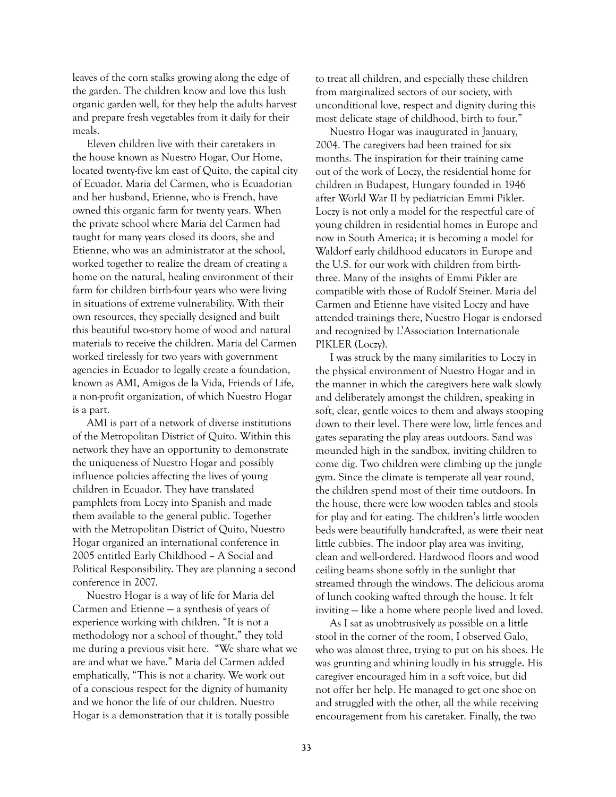leaves of the corn stalks growing along the edge of the garden. The children know and love this lush organic garden well, for they help the adults harvest and prepare fresh vegetables from it daily for their meals.

Eleven children live with their caretakers in the house known as Nuestro Hogar, Our Home, located twenty-five km east of Quito, the capital city of Ecuador. Maria del Carmen, who is Ecuadorian and her husband, Etienne, who is French, have owned this organic farm for twenty years. When the private school where Maria del Carmen had taught for many years closed its doors, she and Etienne, who was an administrator at the school, worked together to realize the dream of creating a home on the natural, healing environment of their farm for children birth-four years who were living in situations of extreme vulnerability. With their own resources, they specially designed and built this beautiful two-story home of wood and natural materials to receive the children. Maria del Carmen worked tirelessly for two years with government agencies in Ecuador to legally create a foundation, known as AMI, Amigos de la Vida, Friends of Life, a non-profit organization, of which Nuestro Hogar is a part.

AMI is part of a network of diverse institutions of the Metropolitan District of Quito. Within this network they have an opportunity to demonstrate the uniqueness of Nuestro Hogar and possibly influence policies affecting the lives of young children in Ecuador. They have translated pamphlets from Loczy into Spanish and made them available to the general public. Together with the Metropolitan District of Quito, Nuestro Hogar organized an international conference in 2005 entitled Early Childhood – A Social and Political Responsibility. They are planning a second conference in 2007.

Nuestro Hogar is a way of life for Maria del Carmen and Etienne — a synthesis of years of experience working with children. "It is not a methodology nor a school of thought," they told me during a previous visit here. "We share what we are and what we have." Maria del Carmen added emphatically, "This is not a charity. We work out of a conscious respect for the dignity of humanity and we honor the life of our children. Nuestro Hogar is a demonstration that it is totally possible

to treat all children, and especially these children from marginalized sectors of our society, with unconditional love, respect and dignity during this most delicate stage of childhood, birth to four."

Nuestro Hogar was inaugurated in January, 2004. The caregivers had been trained for six months. The inspiration for their training came out of the work of Loczy, the residential home for children in Budapest, Hungary founded in 1946 after World War II by pediatrician Emmi Pikler. Loczy is not only a model for the respectful care of young children in residential homes in Europe and now in South America; it is becoming a model for Waldorf early childhood educators in Europe and the U.S. for our work with children from birththree. Many of the insights of Emmi Pikler are compatible with those of Rudolf Steiner. Maria del Carmen and Etienne have visited Loczy and have attended trainings there, Nuestro Hogar is endorsed and recognized by L'Association Internationale PIKLER (Loczy).

I was struck by the many similarities to Loczy in the physical environment of Nuestro Hogar and in the manner in which the caregivers here walk slowly and deliberately amongst the children, speaking in soft, clear, gentle voices to them and always stooping down to their level. There were low, little fences and gates separating the play areas outdoors. Sand was mounded high in the sandbox, inviting children to come dig. Two children were climbing up the jungle gym. Since the climate is temperate all year round, the children spend most of their time outdoors. In the house, there were low wooden tables and stools for play and for eating. The children's little wooden beds were beautifully handcrafted, as were their neat little cubbies. The indoor play area was inviting, clean and well-ordered. Hardwood floors and wood ceiling beams shone softly in the sunlight that streamed through the windows. The delicious aroma of lunch cooking wafted through the house. It felt inviting — like a home where people lived and loved.

As I sat as unobtrusively as possible on a little stool in the corner of the room, I observed Galo, who was almost three, trying to put on his shoes. He was grunting and whining loudly in his struggle. His caregiver encouraged him in a soft voice, but did not offer her help. He managed to get one shoe on and struggled with the other, all the while receiving encouragement from his caretaker. Finally, the two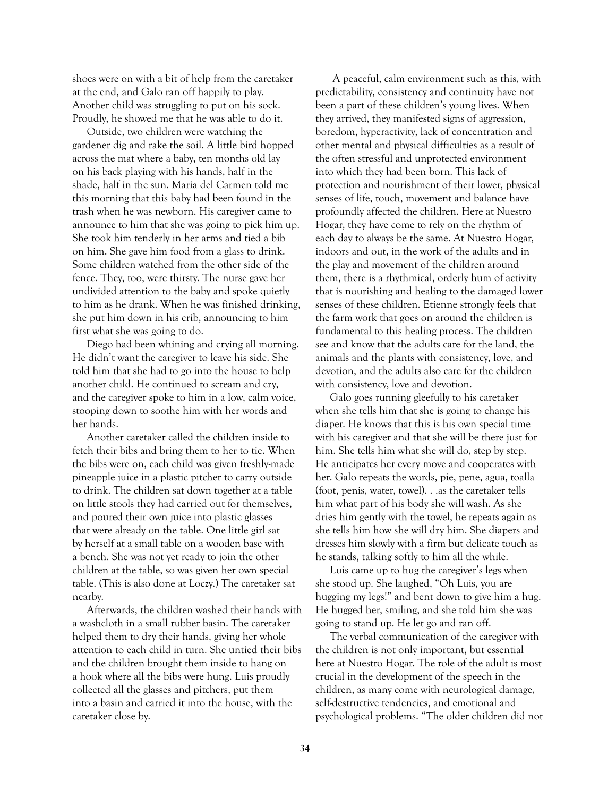shoes were on with a bit of help from the caretaker at the end, and Galo ran off happily to play. Another child was struggling to put on his sock. Proudly, he showed me that he was able to do it.

Outside, two children were watching the gardener dig and rake the soil. A little bird hopped across the mat where a baby, ten months old lay on his back playing with his hands, half in the shade, half in the sun. Maria del Carmen told me this morning that this baby had been found in the trash when he was newborn. His caregiver came to announce to him that she was going to pick him up. She took him tenderly in her arms and tied a bib on him. She gave him food from a glass to drink. Some children watched from the other side of the fence. They, too, were thirsty. The nurse gave her undivided attention to the baby and spoke quietly to him as he drank. When he was finished drinking, she put him down in his crib, announcing to him first what she was going to do.

Diego had been whining and crying all morning. He didn't want the caregiver to leave his side. She told him that she had to go into the house to help another child. He continued to scream and cry, and the caregiver spoke to him in a low, calm voice, stooping down to soothe him with her words and her hands.

Another caretaker called the children inside to fetch their bibs and bring them to her to tie. When the bibs were on, each child was given freshly-made pineapple juice in a plastic pitcher to carry outside to drink. The children sat down together at a table on little stools they had carried out for themselves, and poured their own juice into plastic glasses that were already on the table. One little girl sat by herself at a small table on a wooden base with a bench. She was not yet ready to join the other children at the table, so was given her own special table. (This is also done at Loczy.) The caretaker sat nearby.

Afterwards, the children washed their hands with a washcloth in a small rubber basin. The caretaker helped them to dry their hands, giving her whole attention to each child in turn. She untied their bibs and the children brought them inside to hang on a hook where all the bibs were hung. Luis proudly collected all the glasses and pitchers, put them into a basin and carried it into the house, with the caretaker close by.

 A peaceful, calm environment such as this, with predictability, consistency and continuity have not been a part of these children's young lives. When they arrived, they manifested signs of aggression, boredom, hyperactivity, lack of concentration and other mental and physical difficulties as a result of the often stressful and unprotected environment into which they had been born. This lack of protection and nourishment of their lower, physical senses of life, touch, movement and balance have profoundly affected the children. Here at Nuestro Hogar, they have come to rely on the rhythm of each day to always be the same. At Nuestro Hogar, indoors and out, in the work of the adults and in the play and movement of the children around them, there is a rhythmical, orderly hum of activity that is nourishing and healing to the damaged lower senses of these children. Etienne strongly feels that the farm work that goes on around the children is fundamental to this healing process. The children see and know that the adults care for the land, the animals and the plants with consistency, love, and devotion, and the adults also care for the children with consistency, love and devotion.

Galo goes running gleefully to his caretaker when she tells him that she is going to change his diaper. He knows that this is his own special time with his caregiver and that she will be there just for him. She tells him what she will do, step by step. He anticipates her every move and cooperates with her. Galo repeats the words, pie, pene, agua, toalla (foot, penis, water, towel). . .as the caretaker tells him what part of his body she will wash. As she dries him gently with the towel, he repeats again as she tells him how she will dry him. She diapers and dresses him slowly with a firm but delicate touch as he stands, talking softly to him all the while.

Luis came up to hug the caregiver's legs when she stood up. She laughed, "Oh Luis, you are hugging my legs!" and bent down to give him a hug. He hugged her, smiling, and she told him she was going to stand up. He let go and ran off.

The verbal communication of the caregiver with the children is not only important, but essential here at Nuestro Hogar. The role of the adult is most crucial in the development of the speech in the children, as many come with neurological damage, self-destructive tendencies, and emotional and psychological problems. "The older children did not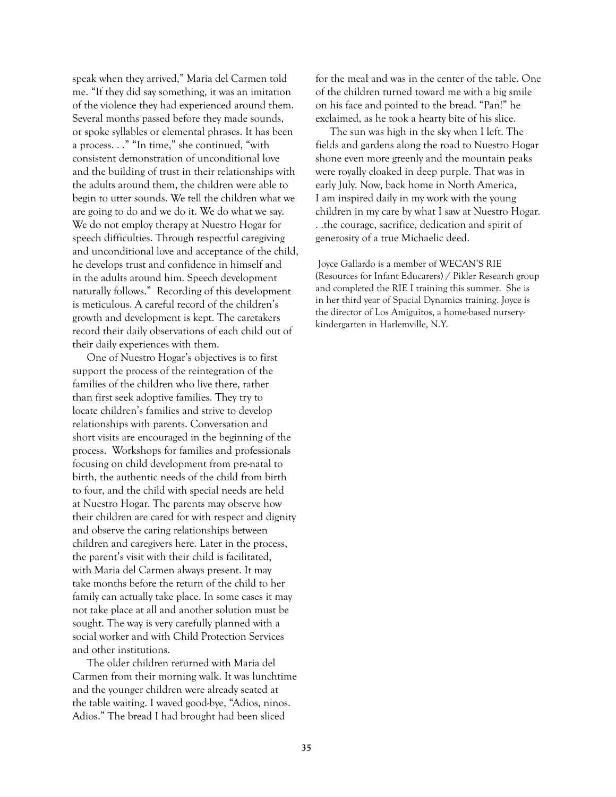speak when they arrived," Maria del Carmen told me. "If they did say something, it was an imitation of the violence they had experienced around them. Several months passed before they made sounds, or spoke syllables or elemental phrases. It has been a process. . ." "In time," she continued, "with consistent demonstration of unconditional love and the building of trust in their relationships with the adults around them, the children were able to begin to utter sounds. We tell the children what we are going to do and we do it. We do what we say. We do not employ therapy at Nuestro Hogar for speech difficulties. Through respectful caregiving and unconditional love and acceptance of the child, he develops trust and confidence in himself and in the adults around him. Speech development naturally follows." Recording of this development is meticulous. A careful record of the children's growth and development is kept. The caretakers record their daily observations of each child out of their daily experiences with them.

One of Nuestro Hogar's objectives is to first support the process of the reintegration of the families of the children who live there, rather than first seek adoptive families. They try to locate children's families and strive to develop relationships with parents. Conversation and short visits are encouraged in the beginning of the process. Workshops for families and professionals focusing on child development from pre-natal to birth, the authentic needs of the child from birth to four, and the child with special needs are held at Nuestro Hogar. The parents may observe how their children are cared for with respect and dignity and observe the caring relationships between children and caregivers here. Later in the process, the parent's visit with their child is facilitated, with Maria del Carmen always present. It may take months before the return of the child to her family can actually take place. In some cases it may not take place at all and another solution must be sought. The way is very carefully planned with a social worker and with Child Protection Services and other institutions.

The older children returned with Maria del Carmen from their morning walk. It was lunchtime and the younger children were already seated at the table waiting. I waved good-bye, "Adios, ninos. Adios." The bread I had brought had been sliced

for the meal and was in the center of the table. One of the children turned toward me with a big smile on his face and pointed to the bread. "Pan!" he exclaimed, as he took a hearty bite of his slice.

The sun was high in the sky when I left. The fields and gardens along the road to Nuestro Hogar shone even more greenly and the mountain peaks were royally cloaked in deep purple. That was in early July. Now, back home in North America, I am inspired daily in my work with the young children in my care by what I saw at Nuestro Hogar. . .the courage, sacrifice, dedication and spirit of generosity of a true Michaelic deed.

 Joyce Gallardo is a member of WECAN'S RIE (Resources for Infant Educarers) / Pikler Research group and completed the RIE I training this summer. She is in her third year of Spacial Dynamics training. Joyce is the director of Los Amiguitos, a home-based nurserykindergarten in Harlemville, N.Y.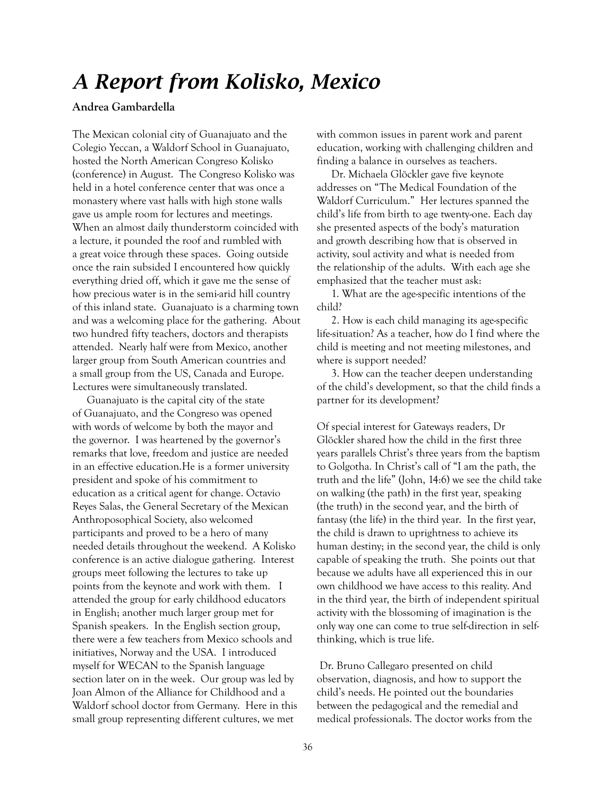# *A Report from Kolisko, Mexico*

#### **Andrea Gambardella**

The Mexican colonial city of Guanajuato and the Colegio Yeccan, a Waldorf School in Guanajuato, hosted the North American Congreso Kolisko (conference) in August. The Congreso Kolisko was held in a hotel conference center that was once a monastery where vast halls with high stone walls gave us ample room for lectures and meetings. When an almost daily thunderstorm coincided with a lecture, it pounded the roof and rumbled with a great voice through these spaces. Going outside once the rain subsided I encountered how quickly everything dried off, which it gave me the sense of how precious water is in the semi-arid hill country of this inland state. Guanajuato is a charming town and was a welcoming place for the gathering. About two hundred fifty teachers, doctors and therapists attended. Nearly half were from Mexico, another larger group from South American countries and a small group from the US, Canada and Europe. Lectures were simultaneously translated.

Guanajuato is the capital city of the state of Guanajuato, and the Congreso was opened with words of welcome by both the mayor and the governor. I was heartened by the governor's remarks that love, freedom and justice are needed in an effective education.He is a former university president and spoke of his commitment to education as a critical agent for change. Octavio Reyes Salas, the General Secretary of the Mexican Anthroposophical Society, also welcomed participants and proved to be a hero of many needed details throughout the weekend. A Kolisko conference is an active dialogue gathering. Interest groups meet following the lectures to take up points from the keynote and work with them. I attended the group for early childhood educators in English; another much larger group met for Spanish speakers. In the English section group, there were a few teachers from Mexico schools and initiatives, Norway and the USA. I introduced myself for WECAN to the Spanish language section later on in the week. Our group was led by Joan Almon of the Alliance for Childhood and a Waldorf school doctor from Germany. Here in this small group representing different cultures, we met

with common issues in parent work and parent education, working with challenging children and finding a balance in ourselves as teachers.

Dr. Michaela Glöckler gave five keynote addresses on "The Medical Foundation of the Waldorf Curriculum." Her lectures spanned the child's life from birth to age twenty-one. Each day she presented aspects of the body's maturation and growth describing how that is observed in activity, soul activity and what is needed from the relationship of the adults. With each age she emphasized that the teacher must ask:

1. What are the age-specific intentions of the child?

2. How is each child managing its age-specific life-situation? As a teacher, how do I find where the child is meeting and not meeting milestones, and where is support needed?

3. How can the teacher deepen understanding of the child's development, so that the child finds a partner for its development?

Of special interest for Gateways readers, Dr Glöckler shared how the child in the first three years parallels Christ's three years from the baptism to Golgotha. In Christ's call of "I am the path, the truth and the life" (John, 14:6) we see the child take on walking (the path) in the first year, speaking (the truth) in the second year, and the birth of fantasy (the life) in the third year. In the first year, the child is drawn to uprightness to achieve its human destiny; in the second year, the child is only capable of speaking the truth. She points out that because we adults have all experienced this in our own childhood we have access to this reality. And in the third year, the birth of independent spiritual activity with the blossoming of imagination is the only way one can come to true self-direction in selfthinking, which is true life.

 Dr. Bruno Callegaro presented on child observation, diagnosis, and how to support the child's needs. He pointed out the boundaries between the pedagogical and the remedial and medical professionals. The doctor works from the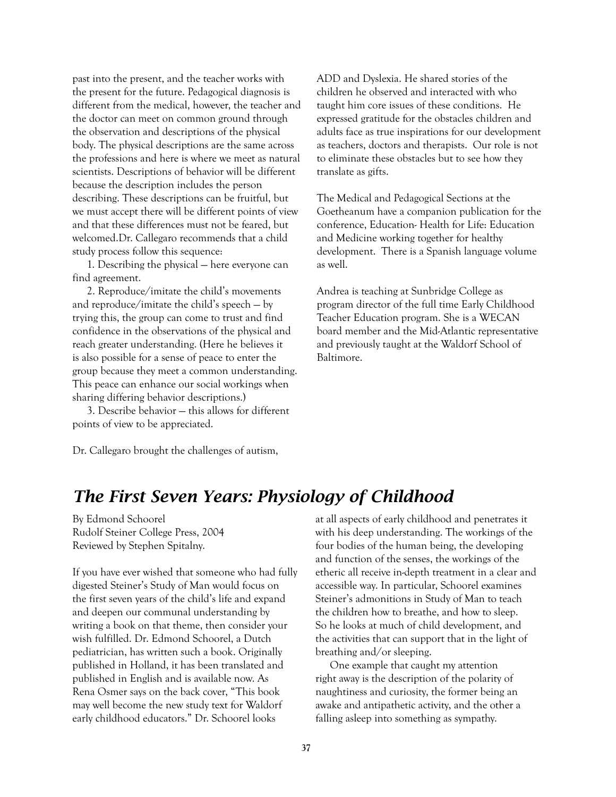past into the present, and the teacher works with the present for the future. Pedagogical diagnosis is different from the medical, however, the teacher and the doctor can meet on common ground through the observation and descriptions of the physical body. The physical descriptions are the same across the professions and here is where we meet as natural scientists. Descriptions of behavior will be different because the description includes the person describing. These descriptions can be fruitful, but we must accept there will be different points of view and that these differences must not be feared, but welcomed.Dr. Callegaro recommends that a child study process follow this sequence:

1. Describing the physical — here everyone can find agreement.

2. Reproduce/imitate the child's movements and reproduce/imitate the child's speech — by trying this, the group can come to trust and find confidence in the observations of the physical and reach greater understanding. (Here he believes it is also possible for a sense of peace to enter the group because they meet a common understanding. This peace can enhance our social workings when sharing differing behavior descriptions.)

3. Describe behavior — this allows for different points of view to be appreciated.

ADD and Dyslexia. He shared stories of the children he observed and interacted with who taught him core issues of these conditions. He expressed gratitude for the obstacles children and adults face as true inspirations for our development as teachers, doctors and therapists. Our role is not to eliminate these obstacles but to see how they translate as gifts.

The Medical and Pedagogical Sections at the Goetheanum have a companion publication for the conference, Education- Health for Life: Education and Medicine working together for healthy development. There is a Spanish language volume as well.

Andrea is teaching at Sunbridge College as program director of the full time Early Childhood Teacher Education program. She is a WECAN board member and the Mid-Atlantic representative and previously taught at the Waldorf School of Baltimore.

Dr. Callegaro brought the challenges of autism,

## *The First Seven Years: Physiology of Childhood*

By Edmond Schoorel Rudolf Steiner College Press, 2004 Reviewed by Stephen Spitalny.

If you have ever wished that someone who had fully digested Steiner's Study of Man would focus on the first seven years of the child's life and expand and deepen our communal understanding by writing a book on that theme, then consider your wish fulfilled. Dr. Edmond Schoorel, a Dutch pediatrician, has written such a book. Originally published in Holland, it has been translated and published in English and is available now. As Rena Osmer says on the back cover, "This book may well become the new study text for Waldorf early childhood educators." Dr. Schoorel looks

at all aspects of early childhood and penetrates it with his deep understanding. The workings of the four bodies of the human being, the developing and function of the senses, the workings of the etheric all receive in-depth treatment in a clear and accessible way. In particular, Schoorel examines Steiner's admonitions in Study of Man to teach the children how to breathe, and how to sleep. So he looks at much of child development, and the activities that can support that in the light of breathing and/or sleeping.

One example that caught my attention right away is the description of the polarity of naughtiness and curiosity, the former being an awake and antipathetic activity, and the other a falling asleep into something as sympathy.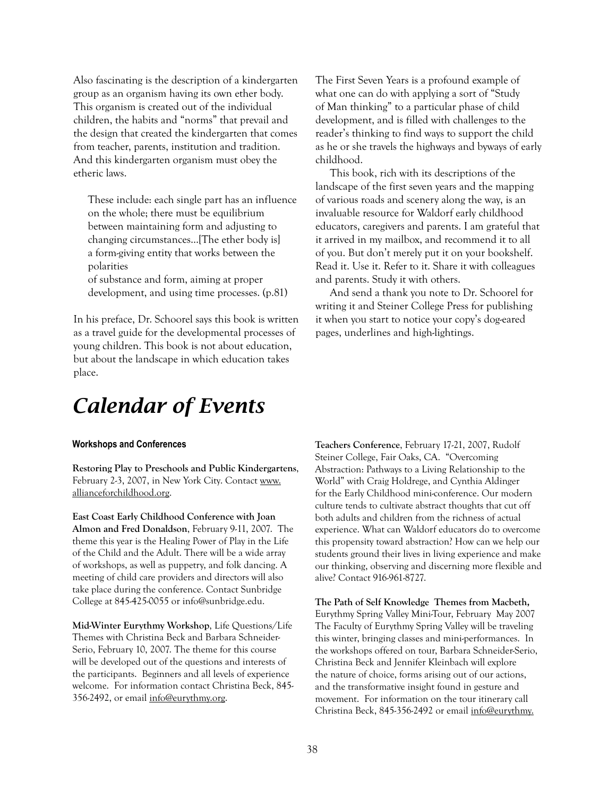Also fascinating is the description of a kindergarten group as an organism having its own ether body. This organism is created out of the individual children, the habits and "norms" that prevail and the design that created the kindergarten that comes from teacher, parents, institution and tradition. And this kindergarten organism must obey the etheric laws.

These include: each single part has an influence on the whole; there must be equilibrium between maintaining form and adjusting to changing circumstances...[The ether body is] a form-giving entity that works between the polarities

of substance and form, aiming at proper development, and using time processes. (p.81)

In his preface, Dr. Schoorel says this book is written as a travel guide for the developmental processes of young children. This book is not about education, but about the landscape in which education takes place.

The First Seven Years is a profound example of what one can do with applying a sort of "Study of Man thinking" to a particular phase of child development, and is filled with challenges to the reader's thinking to find ways to support the child as he or she travels the highways and byways of early childhood.

This book, rich with its descriptions of the landscape of the first seven years and the mapping of various roads and scenery along the way, is an invaluable resource for Waldorf early childhood educators, caregivers and parents. I am grateful that it arrived in my mailbox, and recommend it to all of you. But don't merely put it on your bookshelf. Read it. Use it. Refer to it. Share it with colleagues and parents. Study it with others.

And send a thank you note to Dr. Schoorel for writing it and Steiner College Press for publishing it when you start to notice your copy's dog-eared pages, underlines and high-lightings.

# *Calendar of Events*

#### **Workshops and Conferences**

**Restoring Play to Preschools and Public Kindergartens**, February 2-3, 2007, in New York City. Contact www. allianceforchildhood.org.

**East Coast Early Childhood Conference with Joan Almon and Fred Donaldson**, February 9-11, 2007. The theme this year is the Healing Power of Play in the Life of the Child and the Adult. There will be a wide array of workshops, as well as puppetry, and folk dancing. A meeting of child care providers and directors will also take place during the conference. Contact Sunbridge College at 845-425-0055 or info@sunbridge.edu.

**Mid-Winter Eurythmy Workshop**, Life Questions/Life Themes with Christina Beck and Barbara Schneider-Serio, February 10, 2007. The theme for this course will be developed out of the questions and interests of the participants. Beginners and all levels of experience welcome. For information contact Christina Beck, 845- 356-2492, or email info@eurythmy.org.

**Teachers Conference**, February 17-21, 2007, Rudolf Steiner College, Fair Oaks, CA. "Overcoming Abstraction: Pathways to a Living Relationship to the World" with Craig Holdrege, and Cynthia Aldinger for the Early Childhood mini-conference. Our modern culture tends to cultivate abstract thoughts that cut off both adults and children from the richness of actual experience. What can Waldorf educators do to overcome this propensity toward abstraction? How can we help our students ground their lives in living experience and make our thinking, observing and discerning more flexible and alive? Contact 916-961-8727.

**The Path of Self Knowledge Themes from Macbeth,**  Eurythmy Spring Valley Mini-Tour, February May 2007 The Faculty of Eurythmy Spring Valley will be traveling this winter, bringing classes and mini-performances. In the workshops offered on tour, Barbara Schneider-Serio, Christina Beck and Jennifer Kleinbach will explore the nature of choice, forms arising out of our actions, and the transformative insight found in gesture and movement. For information on the tour itinerary call Christina Beck, 845-356-2492 or email info@eurythmy.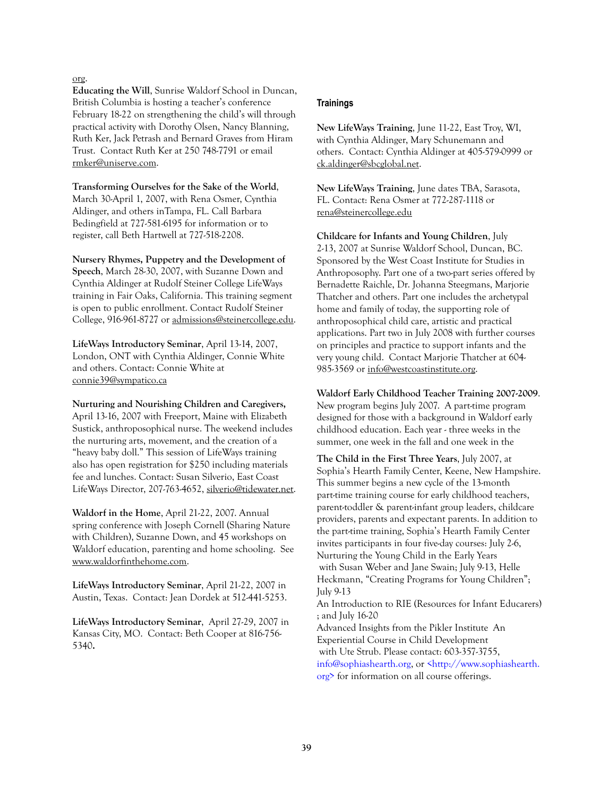org.

**Educating the Will**, Sunrise Waldorf School in Duncan, British Columbia is hosting a teacher's conference February 18-22 on strengthening the child's will through practical activity with Dorothy Olsen, Nancy Blanning, Ruth Ker, Jack Petrash and Bernard Graves from Hiram Trust. Contact Ruth Ker at 250 748-7791 or email rmker@uniserve.com.

**Transforming Ourselves for the Sake of the World**, March 30-April 1, 2007, with Rena Osmer, Cynthia Aldinger, and others inTampa, FL. Call Barbara Bedingfield at 727-581-6195 for information or to register, call Beth Hartwell at 727-518-2208.

**Nursery Rhymes, Puppetry and the Development of Speech**, March 28-30, 2007, with Suzanne Down and Cynthia Aldinger at Rudolf Steiner College LifeWays training in Fair Oaks, California. This training segment is open to public enrollment. Contact Rudolf Steiner College, 916-961-8727 or admissions@steinercollege.edu.

**LifeWays Introductory Seminar**, April 13-14, 2007, London, ONT with Cynthia Aldinger, Connie White and others. Contact: Connie White at connie39@sympatico.ca

**Nurturing and Nourishing Children and Caregivers,**  April 13-16, 2007 with Freeport, Maine with Elizabeth Sustick, anthroposophical nurse. The weekend includes the nurturing arts, movement, and the creation of a "heavy baby doll." This session of LifeWays training also has open registration for \$250 including materials fee and lunches. Contact: Susan Silverio, East Coast LifeWays Director, 207-763-4652, silverio@tidewater.net.

**Waldorf in the Home**, April 21-22, 2007. Annual spring conference with Joseph Cornell (Sharing Nature with Children), Suzanne Down, and 45 workshops on Waldorf education, parenting and home schooling. See www.waldorfinthehome.com.

**LifeWays Introductory Seminar**, April 21-22, 2007 in Austin, Texas. Contact: Jean Dordek at 512-441-5253.

**LifeWays Introductory Seminar**, April 27-29, 2007 in Kansas City, MO. Contact: Beth Cooper at 816-756- 5340**.** 

#### **Trainings**

**New LifeWays Training**, June 11-22, East Troy, WI, with Cynthia Aldinger, Mary Schunemann and others. Contact: Cynthia Aldinger at 405-579-0999 or ck.aldinger@sbcglobal.net.

**New LifeWays Training**, June dates TBA, Sarasota, FL. Contact: Rena Osmer at 772-287-1118 or rena@steinercollege.edu

**Childcare for Infants and Young Children**, July 2-13, 2007 at Sunrise Waldorf School, Duncan, BC. Sponsored by the West Coast Institute for Studies in Anthroposophy. Part one of a two-part series offered by Bernadette Raichle, Dr. Johanna Steegmans, Marjorie Thatcher and others. Part one includes the archetypal home and family of today, the supporting role of anthroposophical child care, artistic and practical applications. Part two in July 2008 with further courses on principles and practice to support infants and the very young child. Contact Marjorie Thatcher at 604- 985-3569 or info@westcoastinstitute.org.

**Waldorf Early Childhood Teacher Training 2007-2009**. New program begins July 2007. A part-time program designed for those with a background in Waldorf early childhood education. Each year - three weeks in the summer, one week in the fall and one week in the

**The Child in the First Three Years**, July 2007, at Sophia's Hearth Family Center, Keene, New Hampshire. This summer begins a new cycle of the 13-month part-time training course for early childhood teachers, parent-toddler & parent-infant group leaders, childcare providers, parents and expectant parents. In addition to the part-time training, Sophia's Hearth Family Center invites participants in four five-day courses: July 2-6, Nurturing the Young Child in the Early Years with Susan Weber and Jane Swain; July 9-13, Helle Heckmann, "Creating Programs for Young Children"; July 9-13

An Introduction to RIE (Resources for Infant Educarers) ; and July 16-20

Advanced Insights from the Pikler Institute An Experiential Course in Child Development with Ute Strub. Please contact: 603-357-3755, info@sophiashearth.org, or <http://www.sophiashearth. org> for information on all course offerings.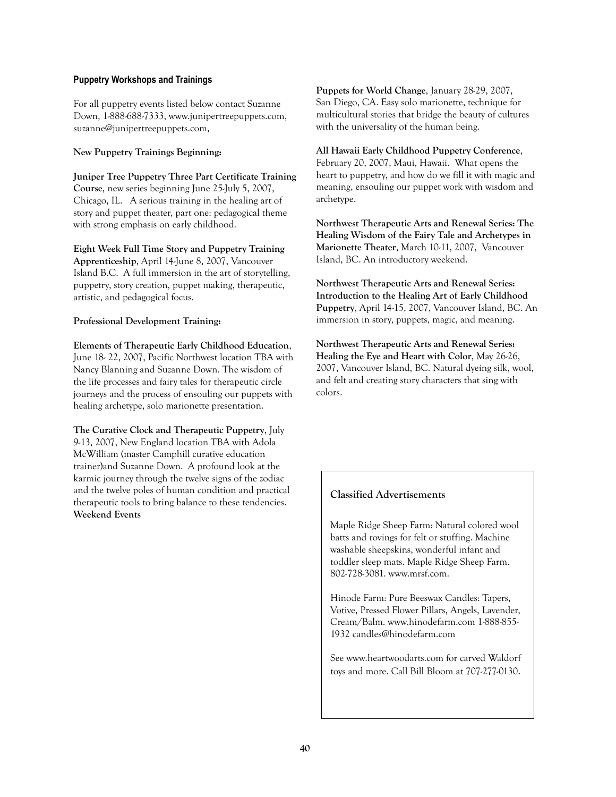#### **Puppetry Workshops and Trainings**

For all puppetry events listed below contact Suzanne Down, 1-888-688-7333, www.junipertreepuppets.com, suzanne@junipertreepuppets.com,

#### **New Puppetry Trainings Beginning:**

**Juniper Tree Puppetry Three Part Certificate Training Course**, new series beginning June 25-July 5, 2007, Chicago, IL. A serious training in the healing art of story and puppet theater, part one: pedagogical theme with strong emphasis on early childhood.

**Eight Week Full Time Story and Puppetry Training Apprenticeship**, April 14-June 8, 2007, Vancouver Island B.C. A full immersion in the art of storytelling, puppetry, story creation, puppet making, therapeutic, artistic, and pedagogical focus.

#### **Professional Development Training:**

**Elements of Therapeutic Early Childhood Education**, June 18- 22, 2007, Pacific Northwest location TBA with Nancy Blanning and Suzanne Down. The wisdom of the life processes and fairy tales for therapeutic circle journeys and the process of ensouling our puppets with healing archetype, solo marionette presentation.

**The Curative Clock and Therapeutic Puppetry**, July 9-13, 2007, New England location TBA with Adola McWilliam (master Camphill curative education trainer)and Suzanne Down. A profound look at the karmic journey through the twelve signs of the zodiac and the twelve poles of human condition and practical therapeutic tools to bring balance to these tendencies. **Weekend Events**

**Puppets for World Change**, January 28-29, 2007, San Diego, CA. Easy solo marionette, technique for multicultural stories that bridge the beauty of cultures with the universality of the human being.

**All Hawaii Early Childhood Puppetry Conference**, February 20, 2007, Maui, Hawaii. What opens the heart to puppetry, and how do we fill it with magic and meaning, ensouling our puppet work with wisdom and archetype.

**Northwest Therapeutic Arts and Renewal Series: The Healing Wisdom of the Fairy Tale and Archetypes in Marionette Theater**, March 10-11, 2007, Vancouver Island, BC. An introductory weekend.

**Northwest Therapeutic Arts and Renewal Series: Introduction to the Healing Art of Early Childhood Puppetry**, April 14-15, 2007, Vancouver Island, BC. An immersion in story, puppets, magic, and meaning.

**Northwest Therapeutic Arts and Renewal Series: Healing the Eye and Heart with Color**, May 26-26, 2007, Vancouver Island, BC. Natural dyeing silk, wool, and felt and creating story characters that sing with colors.

#### **Classified Advertisements**

Maple Ridge Sheep Farm: Natural colored wool batts and rovings for felt or stuffing. Machine washable sheepskins, wonderful infant and toddler sleep mats. Maple Ridge Sheep Farm. 802-728-3081. www.mrsf.com.

Hinode Farm: Pure Beeswax Candles: Tapers, Votive, Pressed Flower Pillars, Angels, Lavender, Cream/Balm. www.hinodefarm.com 1-888-855- 1932 candles@hinodefarm.com

See www.heartwoodarts.com for carved Waldorf toys and more. Call Bill Bloom at 707-277-0130.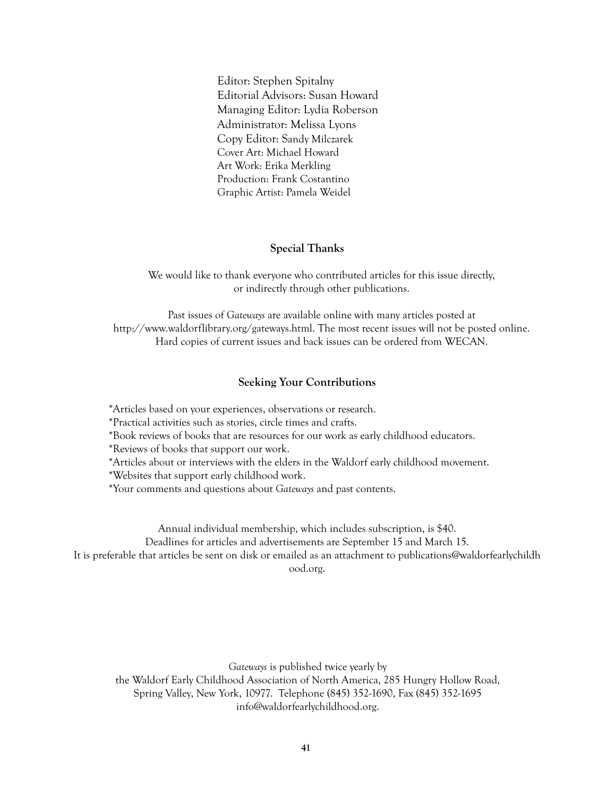Editor: Stephen Spitalny Editorial Advisors: Susan Howard Managing Editor: Lydia Roberson Administrator: Melissa Lyons Copy Editor: Sandy Milczarek Cover Art: Michael Howard Art Work: Erika Merkling Production: Frank Costantino Graphic Artist: Pamela Weidel

#### **Special Thanks**

We would like to thank everyone who contributed articles for this issue directly, or indirectly through other publications.

Past issues of *Gateways* are available online with many articles posted at http://www.waldorflibrary.org/gateways.html. The most recent issues will not be posted online. Hard copies of current issues and back issues can be ordered from WECAN.

#### **Seeking Your Contributions**

\*Articles based on your experiences, observations or research.

\*Practical activities such as stories, circle times and crafts.

\*Book reviews of books that are resources for our work as early childhood educators.

\*Reviews of books that support our work.

\*Articles about or interviews with the elders in the Waldorf early childhood movement.

\*Websites that support early childhood work.

\*Your comments and questions about *Gateways* and past contents.

Annual individual membership, which includes subscription, is \$40. Deadlines for articles and advertisements are September 15 and March 15. It is preferable that articles be sent on disk or emailed as an attachment to publications@waldorfearlychildh ood.org.

*Gateways* is published twice yearly by the Waldorf Early Childhood Association of North America, 285 Hungry Hollow Road, Spring Valley, New York, 10977. Telephone (845) 352-1690, Fax (845) 352-1695 info@waldorfearlychildhood.org.